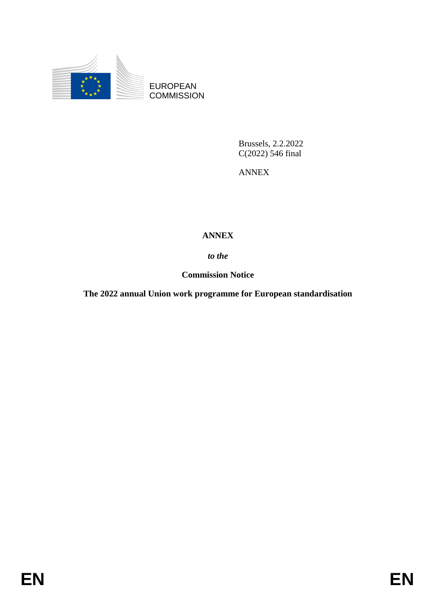

EUROPEAN **COMMISSION** 

> Brussels, 2.2.2022 C(2022) 546 final

ANNEX

## **ANNEX**

*to the* 

**Commission Notice**

**The 2022 annual Union work programme for European standardisation**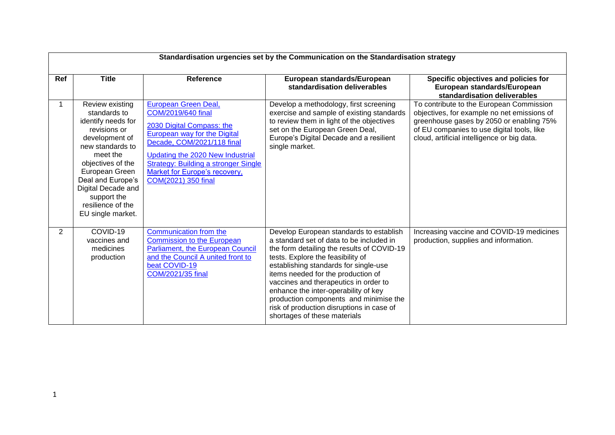|                | Standardisation urgencies set by the Communication on the Standardisation strategy                                                                                                                                                                                 |                                                                                                                                                                                                                                                                                  |                                                                                                                                                                                                                                                                                                                                                                                                                                                               |                                                                                                                                                                                                                                  |  |
|----------------|--------------------------------------------------------------------------------------------------------------------------------------------------------------------------------------------------------------------------------------------------------------------|----------------------------------------------------------------------------------------------------------------------------------------------------------------------------------------------------------------------------------------------------------------------------------|---------------------------------------------------------------------------------------------------------------------------------------------------------------------------------------------------------------------------------------------------------------------------------------------------------------------------------------------------------------------------------------------------------------------------------------------------------------|----------------------------------------------------------------------------------------------------------------------------------------------------------------------------------------------------------------------------------|--|
| Ref            | <b>Title</b>                                                                                                                                                                                                                                                       | Reference                                                                                                                                                                                                                                                                        | European standards/European<br>standardisation deliverables                                                                                                                                                                                                                                                                                                                                                                                                   | Specific objectives and policies for<br>European standards/European<br>standardisation deliverables                                                                                                                              |  |
|                | Review existing<br>standards to<br>identify needs for<br>revisions or<br>development of<br>new standards to<br>meet the<br>objectives of the<br>European Green<br>Deal and Europe's<br>Digital Decade and<br>support the<br>resilience of the<br>EU single market. | European Green Deal,<br>COM/2019/640 final<br>2030 Digital Compass: the<br>European way for the Digital<br>Decade, COM/2021/118 final<br>Updating the 2020 New Industrial<br><b>Strategy: Building a stronger Single</b><br>Market for Europe's recovery,<br>COM(2021) 350 final | Develop a methodology, first screening<br>exercise and sample of existing standards<br>to review them in light of the objectives<br>set on the European Green Deal,<br>Europe's Digital Decade and a resilient<br>single market.                                                                                                                                                                                                                              | To contribute to the European Commission<br>objectives, for example no net emissions of<br>greenhouse gases by 2050 or enabling 75%<br>of EU companies to use digital tools, like<br>cloud, artificial intelligence or big data. |  |
| $\overline{2}$ | COVID-19<br>vaccines and<br>medicines<br>production                                                                                                                                                                                                                | Communication from the<br><b>Commission to the European</b><br><b>Parliament, the European Council</b><br>and the Council A united front to<br>beat COVID-19<br>COM/2021/35 final                                                                                                | Develop European standards to establish<br>a standard set of data to be included in<br>the form detailing the results of COVID-19<br>tests. Explore the feasibility of<br>establishing standards for single-use<br>items needed for the production of<br>vaccines and therapeutics in order to<br>enhance the inter-operability of key<br>production components and minimise the<br>risk of production disruptions in case of<br>shortages of these materials | Increasing vaccine and COVID-19 medicines<br>production, supplies and information.                                                                                                                                               |  |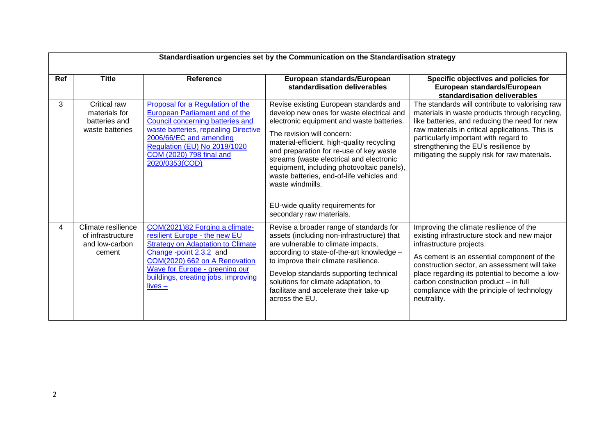|     | Standardisation urgencies set by the Communication on the Standardisation strategy |                                                                                                                                                                                                                                                                |                                                                                                                                                                                                                                                                                                                                                                                                                                                                                    |                                                                                                                                                                                                                                                                                                                                                                           |  |  |
|-----|------------------------------------------------------------------------------------|----------------------------------------------------------------------------------------------------------------------------------------------------------------------------------------------------------------------------------------------------------------|------------------------------------------------------------------------------------------------------------------------------------------------------------------------------------------------------------------------------------------------------------------------------------------------------------------------------------------------------------------------------------------------------------------------------------------------------------------------------------|---------------------------------------------------------------------------------------------------------------------------------------------------------------------------------------------------------------------------------------------------------------------------------------------------------------------------------------------------------------------------|--|--|
| Ref | <b>Title</b>                                                                       | Reference                                                                                                                                                                                                                                                      | European standards/European<br>standardisation deliverables                                                                                                                                                                                                                                                                                                                                                                                                                        | Specific objectives and policies for<br>European standards/European<br>standardisation deliverables                                                                                                                                                                                                                                                                       |  |  |
| 3   | Critical raw<br>materials for<br>batteries and<br>waste batteries                  | Proposal for a Regulation of the<br><b>European Parliament and of the</b><br>Council concerning batteries and<br>waste batteries, repealing Directive<br>2006/66/EC and amending<br>Regulation (EU) No 2019/1020<br>COM (2020) 798 final and<br>2020/0353(COD) | Revise existing European standards and<br>develop new ones for waste electrical and<br>electronic equipment and waste batteries.<br>The revision will concern:<br>material-efficient, high-quality recycling<br>and preparation for re-use of key waste<br>streams (waste electrical and electronic<br>equipment, including photovoltaic panels),<br>waste batteries, end-of-life vehicles and<br>waste windmills.<br>EU-wide quality requirements for<br>secondary raw materials. | The standards will contribute to valorising raw<br>materials in waste products through recycling,<br>like batteries, and reducing the need for new<br>raw materials in critical applications. This is<br>particularly important with regard to<br>strengthening the EU's resilience by<br>mitigating the supply risk for raw materials.                                   |  |  |
| 4   | Climate resilience<br>of infrastructure<br>and low-carbon<br>cement                | COM(2021)82 Forging a climate-<br>resilient Europe - the new EU<br><b>Strategy on Adaptation to Climate</b><br>Change -point 2.3.2_and<br>COM(2020) 662 on A Renovation<br>Wave for Europe - greening our<br>buildings, creating jobs, improving<br>$lives -$  | Revise a broader range of standards for<br>assets (including non-infrastructure) that<br>are vulnerable to climate impacts,<br>according to state-of-the-art knowledge -<br>to improve their climate resilience.<br>Develop standards supporting technical<br>solutions for climate adaptation, to<br>facilitate and accelerate their take-up<br>across the EU.                                                                                                                    | Improving the climate resilience of the<br>existing infrastructure stock and new major<br>infrastructure projects.<br>As cement is an essential component of the<br>construction sector, an assessment will take<br>place regarding its potential to become a low-<br>carbon construction product - in full<br>compliance with the principle of technology<br>neutrality. |  |  |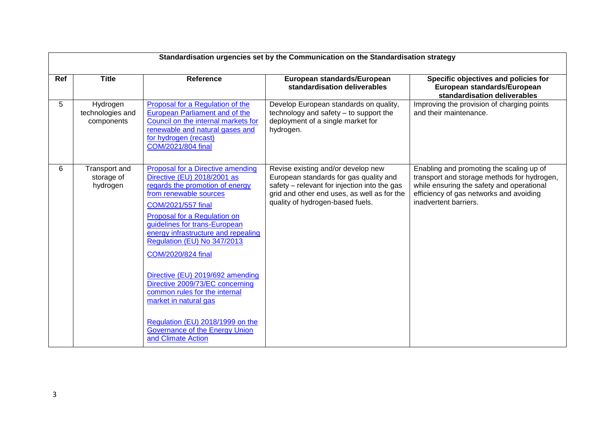|     | Standardisation urgencies set by the Communication on the Standardisation strategy |                                                                                                                                                                                                                                                                                                                                                                                                                                                                                                                                               |                                                                                                                                                                                                                 |                                                                                                                                                                                                          |  |
|-----|------------------------------------------------------------------------------------|-----------------------------------------------------------------------------------------------------------------------------------------------------------------------------------------------------------------------------------------------------------------------------------------------------------------------------------------------------------------------------------------------------------------------------------------------------------------------------------------------------------------------------------------------|-----------------------------------------------------------------------------------------------------------------------------------------------------------------------------------------------------------------|----------------------------------------------------------------------------------------------------------------------------------------------------------------------------------------------------------|--|
| Ref | <b>Title</b>                                                                       | <b>Reference</b>                                                                                                                                                                                                                                                                                                                                                                                                                                                                                                                              | European standards/European<br>standardisation deliverables                                                                                                                                                     | Specific objectives and policies for<br>European standards/European<br>standardisation deliverables                                                                                                      |  |
| 5   | Hydrogen<br>technologies and<br>components                                         | Proposal for a Regulation of the<br><b>European Parliament and of the</b><br>Council on the internal markets for<br>renewable and natural gases and<br>for hydrogen (recast)<br>COM/2021/804 final                                                                                                                                                                                                                                                                                                                                            | Develop European standards on quality,<br>technology and safety - to support the<br>deployment of a single market for<br>hydrogen.                                                                              | Improving the provision of charging points<br>and their maintenance.                                                                                                                                     |  |
| 6   | Transport and<br>storage of<br>hydrogen                                            | Proposal for a Directive amending<br>Directive (EU) 2018/2001 as<br>regards the promotion of energy<br>from renewable sources<br>COM/2021/557 final<br>Proposal for a Regulation on<br>guidelines for trans-European<br>energy infrastructure and repealing<br>Regulation (EU) No 347/2013<br>COM/2020/824 final<br>Directive (EU) 2019/692 amending<br>Directive 2009/73/EC concerning<br>common rules for the internal<br>market in natural gas<br>Regulation (EU) 2018/1999 on the<br>Governance of the Energy Union<br>and Climate Action | Revise existing and/or develop new<br>European standards for gas quality and<br>safety – relevant for injection into the gas<br>grid and other end uses, as well as for the<br>quality of hydrogen-based fuels. | Enabling and promoting the scaling up of<br>transport and storage methods for hydrogen,<br>while ensuring the safety and operational<br>efficiency of gas networks and avoiding<br>inadvertent barriers. |  |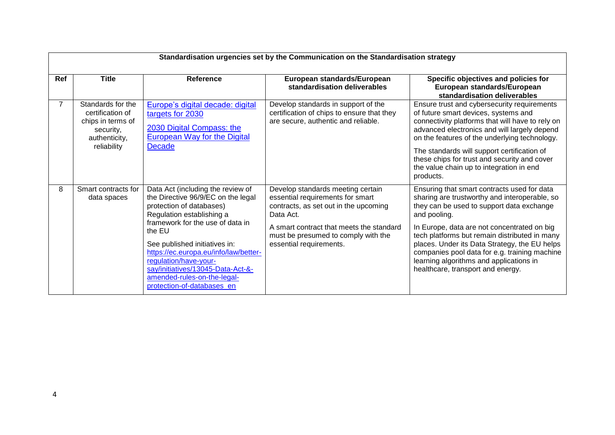|            | Standardisation urgencies set by the Communication on the Standardisation strategy       |                                                                                                                                                                                                                                                 |                                                                                                                             |                                                                                                                                                                                                                                                                                |  |
|------------|------------------------------------------------------------------------------------------|-------------------------------------------------------------------------------------------------------------------------------------------------------------------------------------------------------------------------------------------------|-----------------------------------------------------------------------------------------------------------------------------|--------------------------------------------------------------------------------------------------------------------------------------------------------------------------------------------------------------------------------------------------------------------------------|--|
| <b>Ref</b> | <b>Title</b>                                                                             | <b>Reference</b>                                                                                                                                                                                                                                | European standards/European<br>standardisation deliverables                                                                 | Specific objectives and policies for<br>European standards/European<br>standardisation deliverables                                                                                                                                                                            |  |
|            | Standards for the<br>certification of<br>chips in terms of<br>security,<br>authenticity, | Europe's digital decade: digital<br>targets for 2030<br>2030 Digital Compass: the<br><b>European Way for the Digital</b>                                                                                                                        | Develop standards in support of the<br>certification of chips to ensure that they<br>are secure, authentic and reliable.    | Ensure trust and cybersecurity requirements<br>of future smart devices, systems and<br>connectivity platforms that will have to rely on<br>advanced electronics and will largely depend<br>on the features of the underlying technology.                                       |  |
|            | reliability                                                                              | <b>Decade</b>                                                                                                                                                                                                                                   |                                                                                                                             | The standards will support certification of<br>these chips for trust and security and cover<br>the value chain up to integration in end<br>products.                                                                                                                           |  |
| 8          | Smart contracts for<br>data spaces                                                       | Data Act (including the review of<br>the Directive 96/9/EC on the legal<br>protection of databases)<br>Regulation establishing a                                                                                                                | Develop standards meeting certain<br>essential requirements for smart<br>contracts, as set out in the upcoming<br>Data Act. | Ensuring that smart contracts used for data<br>sharing are trustworthy and interoperable, so<br>they can be used to support data exchange<br>and pooling.                                                                                                                      |  |
|            |                                                                                          | framework for the use of data in<br>the EU<br>See published initiatives in:<br>https://ec.europa.eu/info/law/better-<br>regulation/have-your-<br>say/initiatives/13045-Data-Act-&-<br>amended-rules-on-the-legal-<br>protection-of-databases_en | A smart contract that meets the standard<br>must be presumed to comply with the<br>essential requirements.                  | In Europe, data are not concentrated on big<br>tech platforms but remain distributed in many<br>places. Under its Data Strategy, the EU helps<br>companies pool data for e.g. training machine<br>learning algorithms and applications in<br>healthcare, transport and energy. |  |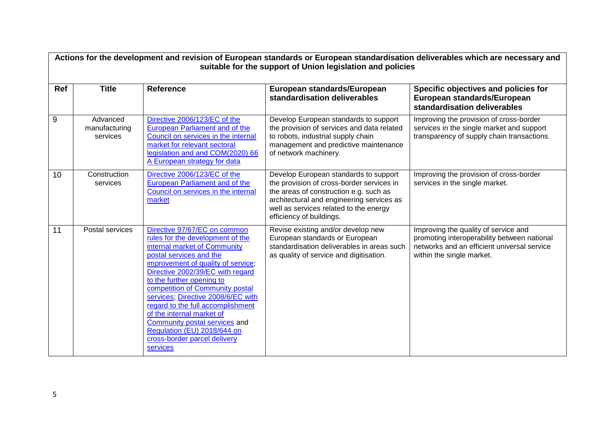|     | Actions for the development and revision of European standards or European standardisation deliverables which are necessary and<br>suitable for the support of Union legislation and policies |                                                                                                                                                                                                                                                                                                                                                                                                                                                                                           |                                                                                                                                                                                                                                                 |                                                                                                                                                                 |  |
|-----|-----------------------------------------------------------------------------------------------------------------------------------------------------------------------------------------------|-------------------------------------------------------------------------------------------------------------------------------------------------------------------------------------------------------------------------------------------------------------------------------------------------------------------------------------------------------------------------------------------------------------------------------------------------------------------------------------------|-------------------------------------------------------------------------------------------------------------------------------------------------------------------------------------------------------------------------------------------------|-----------------------------------------------------------------------------------------------------------------------------------------------------------------|--|
| Ref | <b>Title</b>                                                                                                                                                                                  | <b>Reference</b>                                                                                                                                                                                                                                                                                                                                                                                                                                                                          | European standards/European<br>standardisation deliverables                                                                                                                                                                                     | Specific objectives and policies for<br>European standards/European<br>standardisation deliverables                                                             |  |
| 9   | Advanced<br>manufacturing<br>services                                                                                                                                                         | Directive 2006/123/EC of the<br>European Parliament and of the<br>Council on services in the internal<br>market for relevant sectoral<br>legislation and and COM(2020) 66<br>A European strategy for data                                                                                                                                                                                                                                                                                 | Develop European standards to support<br>the provision of services and data related<br>to robots, industrial supply chain<br>management and predictive maintenance<br>of network machinery.                                                     | Improving the provision of cross-border<br>services in the single market and support<br>transparency of supply chain transactions.                              |  |
| 10  | Construction<br>services                                                                                                                                                                      | Directive 2006/123/EC of the<br><b>European Parliament and of the</b><br>Council on services in the internal<br>market                                                                                                                                                                                                                                                                                                                                                                    | Develop European standards to support<br>the provision of cross-border services in<br>the areas of construction e.g. such as<br>architectural and engineering services as<br>well as services related to the energy<br>efficiency of buildings. | Improving the provision of cross-border<br>services in the single market.                                                                                       |  |
| 11  | Postal services                                                                                                                                                                               | Directive 97/67/EC on common<br>rules for the development of the<br>internal market of Community<br>postal services and the<br>improvement of quality of service;<br>Directive 2002/39/EC with regard<br>to the further opening to<br>competition of Community postal<br>services, Directive 2008/6/EC with<br>regard to the full accomplishment<br>of the internal market of<br>Community postal services and<br>Regulation (EU) 2018/644 on<br>cross-border parcel delivery<br>services | Revise existing and/or develop new<br>European standards or European<br>standardisation deliverables in areas such<br>as quality of service and digitisation.                                                                                   | Improving the quality of service and<br>promoting interoperability between national<br>networks and an efficient universal service<br>within the single market. |  |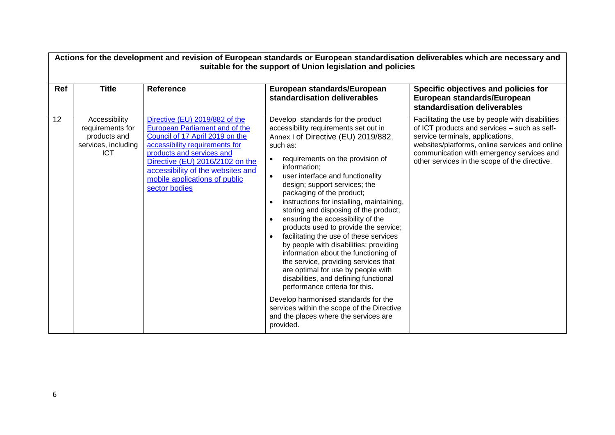|     | Actions for the development and revision of European standards or European standardisation deliverables which are necessary and<br>suitable for the support of Union legislation and policies |                                                                                                                                                                                                                                                                                                     |                                                                                                                                                                                                                                                                                                                                                                                                                                                                                                                                                                                                                                                                                                                                                                                                                                                                                                       |                                                                                                                                                                                                                                                                                      |  |
|-----|-----------------------------------------------------------------------------------------------------------------------------------------------------------------------------------------------|-----------------------------------------------------------------------------------------------------------------------------------------------------------------------------------------------------------------------------------------------------------------------------------------------------|-------------------------------------------------------------------------------------------------------------------------------------------------------------------------------------------------------------------------------------------------------------------------------------------------------------------------------------------------------------------------------------------------------------------------------------------------------------------------------------------------------------------------------------------------------------------------------------------------------------------------------------------------------------------------------------------------------------------------------------------------------------------------------------------------------------------------------------------------------------------------------------------------------|--------------------------------------------------------------------------------------------------------------------------------------------------------------------------------------------------------------------------------------------------------------------------------------|--|
| Ref | <b>Title</b>                                                                                                                                                                                  | <b>Reference</b>                                                                                                                                                                                                                                                                                    | European standards/European<br>standardisation deliverables                                                                                                                                                                                                                                                                                                                                                                                                                                                                                                                                                                                                                                                                                                                                                                                                                                           | Specific objectives and policies for<br>European standards/European<br>standardisation deliverables                                                                                                                                                                                  |  |
| 12  | Accessibility<br>requirements for<br>products and<br>services, including<br><b>ICT</b>                                                                                                        | Directive (EU) 2019/882 of the<br><b>European Parliament and of the</b><br>Council of 17 April 2019 on the<br>accessibility requirements for<br>products and services and<br>Directive (EU) 2016/2102 on the<br>accessibility of the websites and<br>mobile applications of public<br>sector bodies | Develop standards for the product<br>accessibility requirements set out in<br>Annex I of Directive (EU) 2019/882,<br>such as:<br>requirements on the provision of<br>information;<br>user interface and functionality<br>$\bullet$<br>design; support services; the<br>packaging of the product;<br>instructions for installing, maintaining,<br>storing and disposing of the product;<br>ensuring the accessibility of the<br>products used to provide the service;<br>facilitating the use of these services<br>by people with disabilities: providing<br>information about the functioning of<br>the service, providing services that<br>are optimal for use by people with<br>disabilities, and defining functional<br>performance criteria for this.<br>Develop harmonised standards for the<br>services within the scope of the Directive<br>and the places where the services are<br>provided. | Facilitating the use by people with disabilities<br>of ICT products and services - such as self-<br>service terminals, applications,<br>websites/platforms, online services and online<br>communication with emergency services and<br>other services in the scope of the directive. |  |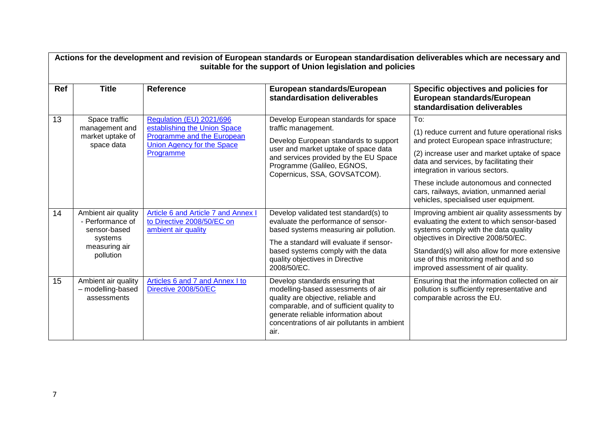|            | Actions for the development and revision of European standards or European standardisation deliverables which are necessary and<br>suitable for the support of Union legislation and policies |                                                                                                                                          |                                                                                                                                                                                                                                                           |                                                                                                                                                                                                                                                                                                                                                                     |  |
|------------|-----------------------------------------------------------------------------------------------------------------------------------------------------------------------------------------------|------------------------------------------------------------------------------------------------------------------------------------------|-----------------------------------------------------------------------------------------------------------------------------------------------------------------------------------------------------------------------------------------------------------|---------------------------------------------------------------------------------------------------------------------------------------------------------------------------------------------------------------------------------------------------------------------------------------------------------------------------------------------------------------------|--|
| <b>Ref</b> | <b>Title</b>                                                                                                                                                                                  | <b>Reference</b>                                                                                                                         | European standards/European<br>standardisation deliverables                                                                                                                                                                                               | Specific objectives and policies for<br>European standards/European<br>standardisation deliverables                                                                                                                                                                                                                                                                 |  |
| 13         | Space traffic<br>management and<br>market uptake of<br>space data                                                                                                                             | Regulation (EU) 2021/696<br>establishing the Union Space<br>Programme and the European<br><b>Union Agency for the Space</b><br>Programme | Develop European standards for space<br>traffic management.<br>Develop European standards to support<br>user and market uptake of space data<br>and services provided by the EU Space<br>Programme (Galileo, EGNOS,<br>Copernicus, SSA, GOVSATCOM).       | To:<br>(1) reduce current and future operational risks<br>and protect European space infrastructure;<br>(2) increase user and market uptake of space<br>data and services, by facilitating their<br>integration in various sectors.<br>These include autonomous and connected<br>cars, railways, aviation, unmanned aerial<br>vehicles, specialised user equipment. |  |
| 14         | Ambient air quality<br>- Performance of<br>sensor-based<br>systems<br>measuring air<br>pollution                                                                                              | Article 6 and Article 7 and Annex I<br>to Directive 2008/50/EC on<br>ambient air quality                                                 | Develop validated test standard(s) to<br>evaluate the performance of sensor-<br>based systems measuring air pollution.<br>The a standard will evaluate if sensor-<br>based systems comply with the data<br>quality objectives in Directive<br>2008/50/EC. | Improving ambient air quality assessments by<br>evaluating the extent to which sensor-based<br>systems comply with the data quality<br>objectives in Directive 2008/50/EC.<br>Standard(s) will also allow for more extensive<br>use of this monitoring method and so<br>improved assessment of air quality.                                                         |  |
| 15         | Ambient air quality<br>- modelling-based<br>assessments                                                                                                                                       | Articles 6 and 7 and Annex I to<br>Directive 2008/50/EC                                                                                  | Develop standards ensuring that<br>modelling-based assessments of air<br>quality are objective, reliable and<br>comparable, and of sufficient quality to<br>generate reliable information about<br>concentrations of air pollutants in ambient<br>air.    | Ensuring that the information collected on air<br>pollution is sufficiently representative and<br>comparable across the EU.                                                                                                                                                                                                                                         |  |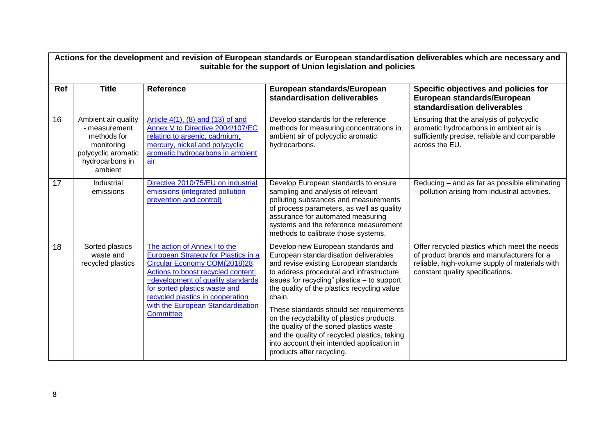| Actions for the development and revision of European standards or European standardisation deliverables which are necessary and<br>suitable for the support of Union legislation and policies |                                                                                                                        |                                                                                                                                                                                                                                                                                                              |                                                                                                                                                                                                                                                                                                                                                                                                                                                                                                                                           |                                                                                                                                                                                 |
|-----------------------------------------------------------------------------------------------------------------------------------------------------------------------------------------------|------------------------------------------------------------------------------------------------------------------------|--------------------------------------------------------------------------------------------------------------------------------------------------------------------------------------------------------------------------------------------------------------------------------------------------------------|-------------------------------------------------------------------------------------------------------------------------------------------------------------------------------------------------------------------------------------------------------------------------------------------------------------------------------------------------------------------------------------------------------------------------------------------------------------------------------------------------------------------------------------------|---------------------------------------------------------------------------------------------------------------------------------------------------------------------------------|
| Ref                                                                                                                                                                                           | <b>Title</b>                                                                                                           | <b>Reference</b>                                                                                                                                                                                                                                                                                             | European standards/European<br>standardisation deliverables                                                                                                                                                                                                                                                                                                                                                                                                                                                                               | Specific objectives and policies for<br>European standards/European<br>standardisation deliverables                                                                             |
| 16                                                                                                                                                                                            | Ambient air quality<br>- measurement<br>methods for<br>monitoring<br>polycyclic aromatic<br>hydrocarbons in<br>ambient | Article $4(1)$ , $(8)$ and $(13)$ of and<br>Annex V to Directive 2004/107/EC<br>relating to arsenic, cadmium,<br>mercury, nickel and polycyclic<br>aromatic hydrocarbons in ambient<br>air                                                                                                                   | Develop standards for the reference<br>methods for measuring concentrations in<br>ambient air of polycyclic aromatic<br>hydrocarbons.                                                                                                                                                                                                                                                                                                                                                                                                     | Ensuring that the analysis of polycyclic<br>aromatic hydrocarbons in ambient air is<br>sufficiently precise, reliable and comparable<br>across the EU.                          |
| 17                                                                                                                                                                                            | Industrial<br>emissions                                                                                                | Directive 2010/75/EU on industrial<br>emissions (integrated pollution<br>prevention and control)                                                                                                                                                                                                             | Develop European standards to ensure<br>sampling and analysis of relevant<br>polluting substances and measurements<br>of process parameters, as well as quality<br>assurance for automated measuring<br>systems and the reference measurement<br>methods to calibrate those systems.                                                                                                                                                                                                                                                      | Reducing – and as far as possible eliminating<br>- pollution arising from industrial activities.                                                                                |
| 18                                                                                                                                                                                            | Sorted plastics<br>waste and<br>recycled plastics                                                                      | The action of Annex I to the<br>European Strategy for Plastics in a<br>Circular Economy COM(2018)28<br>Actions to boost recycled content:<br>-development of quality standards<br>for sorted plastics waste and<br>recycled plastics in cooperation<br>with the European Standardisation<br><b>Committee</b> | Develop new European standards and<br>European standardisation deliverables<br>and revise existing European standards<br>to address procedural and infrastructure<br>issues for recycling" plastics - to support<br>the quality of the plastics recycling value<br>chain.<br>These standards should set requirements<br>on the recyclability of plastics products,<br>the quality of the sorted plastics waste<br>and the quality of recycled plastics, taking<br>into account their intended application in<br>products after recycling. | Offer recycled plastics which meet the needs<br>of product brands and manufacturers for a<br>reliable, high-volume supply of materials with<br>constant quality specifications. |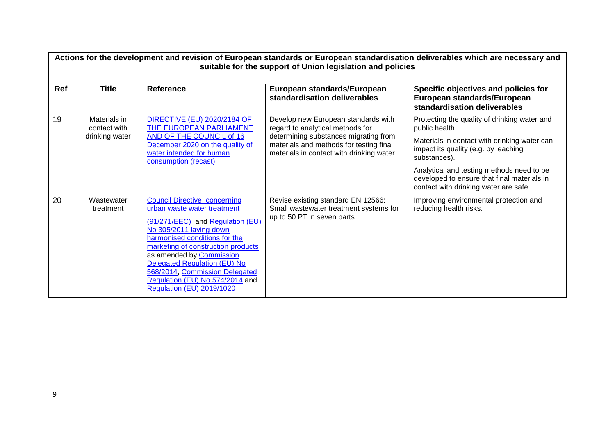|            | Actions for the development and revision of European standards or European standardisation deliverables which are necessary and<br>suitable for the support of Union legislation and policies |                                                                                                                                                                                                                                                                                                                                                                                             |                                                                                                                                                                                                          |                                                                                                                                                                                                                                                                                                             |  |
|------------|-----------------------------------------------------------------------------------------------------------------------------------------------------------------------------------------------|---------------------------------------------------------------------------------------------------------------------------------------------------------------------------------------------------------------------------------------------------------------------------------------------------------------------------------------------------------------------------------------------|----------------------------------------------------------------------------------------------------------------------------------------------------------------------------------------------------------|-------------------------------------------------------------------------------------------------------------------------------------------------------------------------------------------------------------------------------------------------------------------------------------------------------------|--|
| <b>Ref</b> | <b>Title</b>                                                                                                                                                                                  | <b>Reference</b>                                                                                                                                                                                                                                                                                                                                                                            | European standards/European<br>standardisation deliverables                                                                                                                                              | Specific objectives and policies for<br>European standards/European<br>standardisation deliverables                                                                                                                                                                                                         |  |
| 19         | Materials in<br>contact with<br>drinking water                                                                                                                                                | <b>DIRECTIVE (EU) 2020/2184 OF</b><br>THE EUROPEAN PARLIAMENT<br>AND OF THE COUNCIL of 16<br>December 2020 on the quality of<br>water intended for human<br>consumption (recast)                                                                                                                                                                                                            | Develop new European standards with<br>regard to analytical methods for<br>determining substances migrating from<br>materials and methods for testing final<br>materials in contact with drinking water. | Protecting the quality of drinking water and<br>public health.<br>Materials in contact with drinking water can<br>impact its quality (e.g. by leaching<br>substances).<br>Analytical and testing methods need to be<br>developed to ensure that final materials in<br>contact with drinking water are safe. |  |
| 20         | Wastewater<br>treatment                                                                                                                                                                       | <b>Council Directive concerning</b><br>urban waste water treatment<br>(91/271/EEC) and Regulation (EU)<br>No 305/2011 laying down<br>harmonised conditions for the<br>marketing of construction products<br>as amended by <b>Commission</b><br><b>Delegated Regulation (EU) No</b><br>568/2014, Commission Delegated<br>Regulation (EU) No 574/2014 and<br><b>Regulation (EU) 2019/1020</b> | Revise existing standard EN 12566:<br>Small wastewater treatment systems for<br>up to 50 PT in seven parts.                                                                                              | Improving environmental protection and<br>reducing health risks.                                                                                                                                                                                                                                            |  |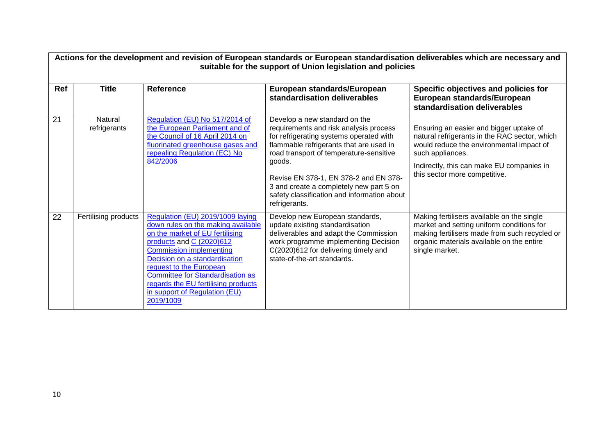|     | Actions for the development and revision of European standards or European standardisation deliverables which are necessary and<br>suitable for the support of Union legislation and policies |                                                                                                                                                                                                                                                                                                                                                              |                                                                                                                                                                                                                                                                                                                                                                        |                                                                                                                                                                                                                                        |  |
|-----|-----------------------------------------------------------------------------------------------------------------------------------------------------------------------------------------------|--------------------------------------------------------------------------------------------------------------------------------------------------------------------------------------------------------------------------------------------------------------------------------------------------------------------------------------------------------------|------------------------------------------------------------------------------------------------------------------------------------------------------------------------------------------------------------------------------------------------------------------------------------------------------------------------------------------------------------------------|----------------------------------------------------------------------------------------------------------------------------------------------------------------------------------------------------------------------------------------|--|
| Ref | <b>Title</b>                                                                                                                                                                                  | <b>Reference</b>                                                                                                                                                                                                                                                                                                                                             | European standards/European<br>standardisation deliverables                                                                                                                                                                                                                                                                                                            | Specific objectives and policies for<br>European standards/European<br>standardisation deliverables                                                                                                                                    |  |
| 21  | Natural<br>refrigerants                                                                                                                                                                       | Regulation (EU) No 517/2014 of<br>the European Parliament and of<br>the Council of 16 April 2014 on<br>fluorinated greenhouse gases and<br>repealing Regulation (EC) No<br>842/2006                                                                                                                                                                          | Develop a new standard on the<br>requirements and risk analysis process<br>for refrigerating systems operated with<br>flammable refrigerants that are used in<br>road transport of temperature-sensitive<br>goods.<br>Revise EN 378-1, EN 378-2 and EN 378-<br>3 and create a completely new part 5 on<br>safety classification and information about<br>refrigerants. | Ensuring an easier and bigger uptake of<br>natural refrigerants in the RAC sector, which<br>would reduce the environmental impact of<br>such appliances.<br>Indirectly, this can make EU companies in<br>this sector more competitive. |  |
| 22  | Fertilising products                                                                                                                                                                          | Regulation (EU) 2019/1009 laying<br>down rules on the making available<br>on the market of EU fertilising<br>products and C (2020)612<br><b>Commission implementing</b><br>Decision on a standardisation<br>request to the European<br>Committee for Standardisation as<br>regards the EU fertilising products<br>in support of Regulation (EU)<br>2019/1009 | Develop new European standards,<br>update existing standardisation<br>deliverables and adapt the Commission<br>work programme implementing Decision<br>C(2020)612 for delivering timely and<br>state-of-the-art standards.                                                                                                                                             | Making fertilisers available on the single<br>market and setting uniform conditions for<br>making fertilisers made from such recycled or<br>organic materials available on the entire<br>single market.                                |  |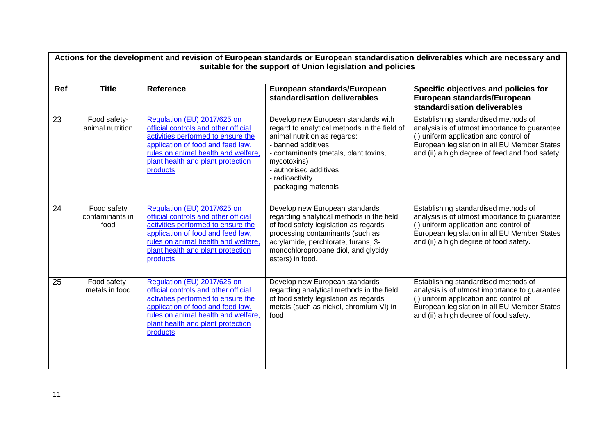|     | Actions for the development and revision of European standards or European standardisation deliverables which are necessary and<br>suitable for the support of Union legislation and policies |                                                                                                                                                                                                                                        |                                                                                                                                                                                                                                                                         |                                                                                                                                                                                                                                    |  |
|-----|-----------------------------------------------------------------------------------------------------------------------------------------------------------------------------------------------|----------------------------------------------------------------------------------------------------------------------------------------------------------------------------------------------------------------------------------------|-------------------------------------------------------------------------------------------------------------------------------------------------------------------------------------------------------------------------------------------------------------------------|------------------------------------------------------------------------------------------------------------------------------------------------------------------------------------------------------------------------------------|--|
| Ref | <b>Title</b>                                                                                                                                                                                  | <b>Reference</b>                                                                                                                                                                                                                       | European standards/European<br>standardisation deliverables                                                                                                                                                                                                             | Specific objectives and policies for<br>European standards/European<br>standardisation deliverables                                                                                                                                |  |
| 23  | Food safety-<br>animal nutrition                                                                                                                                                              | Regulation (EU) 2017/625 on<br>official controls and other official<br>activities performed to ensure the<br>application of food and feed law,<br>rules on animal health and welfare,<br>plant health and plant protection<br>products | Develop new European standards with<br>regard to analytical methods in the field of<br>animal nutrition as regards:<br>- banned additives<br>- contaminants (metals, plant toxins,<br>mycotoxins)<br>- authorised additives<br>- radioactivity<br>- packaging materials | Establishing standardised methods of<br>analysis is of utmost importance to guarantee<br>(i) uniform application and control of<br>European legislation in all EU Member States<br>and (ii) a high degree of feed and food safety. |  |
| 24  | Food safety<br>contaminants in<br>food                                                                                                                                                        | Regulation (EU) 2017/625 on<br>official controls and other official<br>activities performed to ensure the<br>application of food and feed law,<br>rules on animal health and welfare,<br>plant health and plant protection<br>products | Develop new European standards<br>regarding analytical methods in the field<br>of food safety legislation as regards<br>processing contaminants (such as<br>acrylamide, perchlorate, furans, 3-<br>monochloropropane diol, and glycidyl<br>esters) in food.             | Establishing standardised methods of<br>analysis is of utmost importance to guarantee<br>(i) uniform application and control of<br>European legislation in all EU Member States<br>and (ii) a high degree of food safety.          |  |
| 25  | Food safety-<br>metals in food                                                                                                                                                                | Regulation (EU) 2017/625 on<br>official controls and other official<br>activities performed to ensure the<br>application of food and feed law,<br>rules on animal health and welfare,<br>plant health and plant protection<br>products | Develop new European standards<br>regarding analytical methods in the field<br>of food safety legislation as regards<br>metals (such as nickel, chromium VI) in<br>food                                                                                                 | Establishing standardised methods of<br>analysis is of utmost importance to guarantee<br>(i) uniform application and control of<br>European legislation in all EU Member States<br>and (ii) a high degree of food safety.          |  |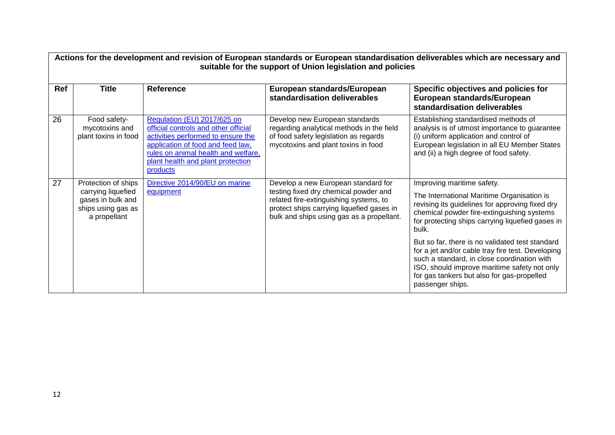|     | Actions for the development and revision of European standards or European standardisation deliverables which are necessary and<br>suitable for the support of Union legislation and policies |                                                                                                                                                                                                                                        |                                                                                                                                                                                                                  |                                                                                                                                                                                                                                                                       |  |
|-----|-----------------------------------------------------------------------------------------------------------------------------------------------------------------------------------------------|----------------------------------------------------------------------------------------------------------------------------------------------------------------------------------------------------------------------------------------|------------------------------------------------------------------------------------------------------------------------------------------------------------------------------------------------------------------|-----------------------------------------------------------------------------------------------------------------------------------------------------------------------------------------------------------------------------------------------------------------------|--|
| Ref | <b>Title</b>                                                                                                                                                                                  | <b>Reference</b>                                                                                                                                                                                                                       | European standards/European<br>standardisation deliverables                                                                                                                                                      | Specific objectives and policies for<br>European standards/European<br>standardisation deliverables                                                                                                                                                                   |  |
| 26  | Food safety-<br>mycotoxins and<br>plant toxins in food                                                                                                                                        | Regulation (EU) 2017/625 on<br>official controls and other official<br>activities performed to ensure the<br>application of food and feed law,<br>rules on animal health and welfare,<br>plant health and plant protection<br>products | Develop new European standards<br>regarding analytical methods in the field<br>of food safety legislation as regards<br>mycotoxins and plant toxins in food                                                      | Establishing standardised methods of<br>analysis is of utmost importance to guarantee<br>(i) uniform application and control of<br>European legislation in all EU Member States<br>and (ii) a high degree of food safety.                                             |  |
| 27  | Protection of ships<br>carrying liquefied<br>gases in bulk and<br>ships using gas as<br>a propellant                                                                                          | Directive 2014/90/EU on marine<br>equipment                                                                                                                                                                                            | Develop a new European standard for<br>testing fixed dry chemical powder and<br>related fire-extinguishing systems, to<br>protect ships carrying liquefied gases in<br>bulk and ships using gas as a propellant. | Improving maritime safety.<br>The International Maritime Organisation is<br>revising its guidelines for approving fixed dry<br>chemical powder fire-extinguishing systems<br>for protecting ships carrying liquefied gases in<br>bulk.                                |  |
|     |                                                                                                                                                                                               |                                                                                                                                                                                                                                        |                                                                                                                                                                                                                  | But so far, there is no validated test standard<br>for a jet and/or cable tray fire test. Developing<br>such a standard, in close coordination with<br>ISO, should improve maritime safety not only<br>for gas tankers but also for gas-propelled<br>passenger ships. |  |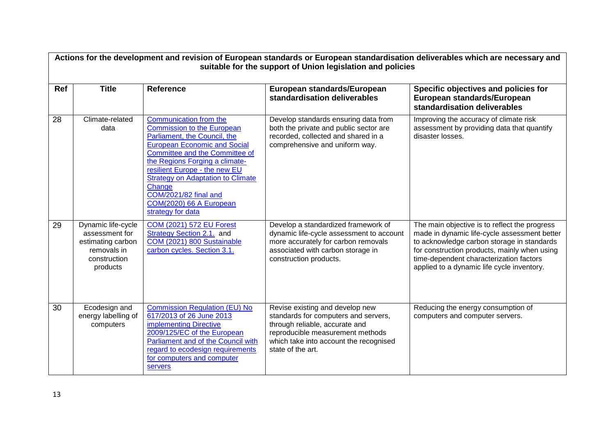|     | Actions for the development and revision of European standards or European standardisation deliverables which are necessary and<br>suitable for the support of Union legislation and policies |                                                                                                                                                                                                                                                                                                                                                                                      |                                                                                                                                                                                                              |                                                                                                                                                                                                                                                                                      |  |  |
|-----|-----------------------------------------------------------------------------------------------------------------------------------------------------------------------------------------------|--------------------------------------------------------------------------------------------------------------------------------------------------------------------------------------------------------------------------------------------------------------------------------------------------------------------------------------------------------------------------------------|--------------------------------------------------------------------------------------------------------------------------------------------------------------------------------------------------------------|--------------------------------------------------------------------------------------------------------------------------------------------------------------------------------------------------------------------------------------------------------------------------------------|--|--|
| Ref | <b>Title</b>                                                                                                                                                                                  | <b>Reference</b>                                                                                                                                                                                                                                                                                                                                                                     | European standards/European<br>standardisation deliverables                                                                                                                                                  | Specific objectives and policies for<br>European standards/European<br>standardisation deliverables                                                                                                                                                                                  |  |  |
| 28  | Climate-related<br>data                                                                                                                                                                       | Communication from the<br><b>Commission to the European</b><br>Parliament, the Council, the<br><b>European Economic and Social</b><br><b>Committee and the Committee of</b><br>the Regions Forging a climate-<br>resilient Europe - the new EU<br><b>Strategy on Adaptation to Climate</b><br>Change<br><b>COM/2021/82 final and</b><br>COM(2020) 66 A European<br>strategy for data | Develop standards ensuring data from<br>both the private and public sector are<br>recorded, collected and shared in a<br>comprehensive and uniform way.                                                      | Improving the accuracy of climate risk<br>assessment by providing data that quantify<br>disaster losses.                                                                                                                                                                             |  |  |
| 29  | Dynamic life-cycle<br>assessment for<br>estimating carbon<br>removals in<br>construction<br>products                                                                                          | <b>COM (2021) 572 EU Forest</b><br><b>Strategy Section 2.1.</b> and<br>COM (2021) 800 Sustainable<br>carbon cycles. Section 3.1.                                                                                                                                                                                                                                                     | Develop a standardized framework of<br>dynamic life-cycle assessment to account<br>more accurately for carbon removals<br>associated with carbon storage in<br>construction products.                        | The main objective is to reflect the progress<br>made in dynamic life-cycle assessment better<br>to acknowledge carbon storage in standards<br>for construction products, mainly when using<br>time-dependent characterization factors<br>applied to a dynamic life cycle inventory. |  |  |
| 30  | Ecodesign and<br>energy labelling of<br>computers                                                                                                                                             | <b>Commission Regulation (EU) No</b><br>617/2013 of 26 June 2013<br>implementing Directive<br>2009/125/EC of the European<br>Parliament and of the Council with<br>regard to ecodesign requirements<br>for computers and computer<br>servers                                                                                                                                         | Revise existing and develop new<br>standards for computers and servers,<br>through reliable, accurate and<br>reproducible measurement methods<br>which take into account the recognised<br>state of the art. | Reducing the energy consumption of<br>computers and computer servers.                                                                                                                                                                                                                |  |  |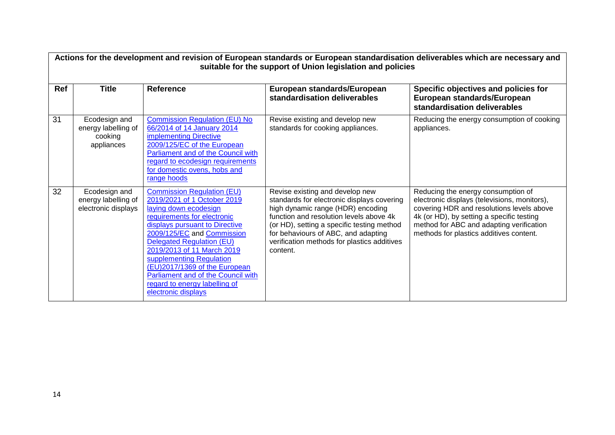|     | Actions for the development and revision of European standards or European standardisation deliverables which are necessary and<br>suitable for the support of Union legislation and policies |                                                                                                                                                                                                                                                                                                                                                                                                                       |                                                                                                                                                                                                                                                                                                               |                                                                                                                                                                                                                                                                     |  |
|-----|-----------------------------------------------------------------------------------------------------------------------------------------------------------------------------------------------|-----------------------------------------------------------------------------------------------------------------------------------------------------------------------------------------------------------------------------------------------------------------------------------------------------------------------------------------------------------------------------------------------------------------------|---------------------------------------------------------------------------------------------------------------------------------------------------------------------------------------------------------------------------------------------------------------------------------------------------------------|---------------------------------------------------------------------------------------------------------------------------------------------------------------------------------------------------------------------------------------------------------------------|--|
| Ref | <b>Title</b>                                                                                                                                                                                  | <b>Reference</b>                                                                                                                                                                                                                                                                                                                                                                                                      | European standards/European<br>standardisation deliverables                                                                                                                                                                                                                                                   | Specific objectives and policies for<br>European standards/European<br>standardisation deliverables                                                                                                                                                                 |  |
| 31  | Ecodesign and<br>energy labelling of<br>cooking<br>appliances                                                                                                                                 | <b>Commission Regulation (EU) No</b><br>66/2014 of 14 January 2014<br>implementing Directive<br>2009/125/EC of the European<br>Parliament and of the Council with<br>regard to ecodesign requirements<br>for domestic ovens, hobs and<br>range hoods                                                                                                                                                                  | Revise existing and develop new<br>standards for cooking appliances.                                                                                                                                                                                                                                          | Reducing the energy consumption of cooking<br>appliances.                                                                                                                                                                                                           |  |
| 32  | Ecodesign and<br>energy labelling of<br>electronic displays                                                                                                                                   | <b>Commission Regulation (EU)</b><br>2019/2021 of 1 October 2019<br>laying down ecodesign<br>requirements for electronic<br>displays pursuant to Directive<br>2009/125/EC and Commission<br><b>Delegated Regulation (EU)</b><br>2019/2013 of 11 March 2019<br>supplementing Regulation<br>(EU)2017/1369 of the European<br>Parliament and of the Council with<br>regard to energy labelling of<br>electronic displays | Revise existing and develop new<br>standards for electronic displays covering<br>high dynamic range (HDR) encoding<br>function and resolution levels above 4k<br>(or HD), setting a specific testing method<br>for behaviours of ABC, and adapting<br>verification methods for plastics additives<br>content. | Reducing the energy consumption of<br>electronic displays (televisions, monitors),<br>covering HDR and resolutions levels above<br>4k (or HD), by setting a specific testing<br>method for ABC and adapting verification<br>methods for plastics additives content. |  |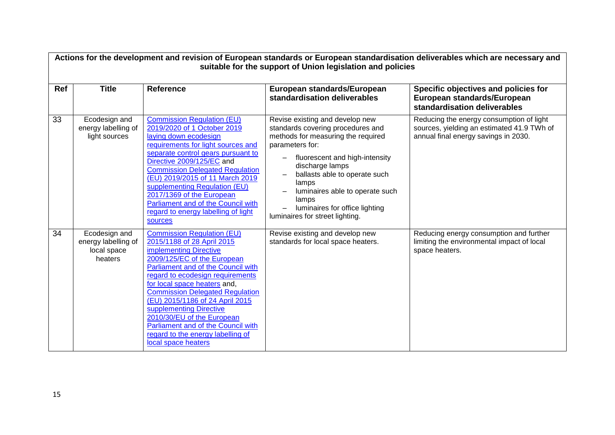| Actions for the development and revision of European standards or European standardisation deliverables which are necessary and<br>suitable for the support of Union legislation and policies |                                                                |                                                                                                                                                                                                                                                                                                                                                                                                                                                                            |                                                                                                                                                                                                                                                                                                                                               |                                                                                                                                |  |
|-----------------------------------------------------------------------------------------------------------------------------------------------------------------------------------------------|----------------------------------------------------------------|----------------------------------------------------------------------------------------------------------------------------------------------------------------------------------------------------------------------------------------------------------------------------------------------------------------------------------------------------------------------------------------------------------------------------------------------------------------------------|-----------------------------------------------------------------------------------------------------------------------------------------------------------------------------------------------------------------------------------------------------------------------------------------------------------------------------------------------|--------------------------------------------------------------------------------------------------------------------------------|--|
| Ref                                                                                                                                                                                           | <b>Title</b>                                                   | <b>Reference</b>                                                                                                                                                                                                                                                                                                                                                                                                                                                           | European standards/European<br>standardisation deliverables                                                                                                                                                                                                                                                                                   | Specific objectives and policies for<br>European standards/European<br>standardisation deliverables                            |  |
| 33                                                                                                                                                                                            | Ecodesign and<br>energy labelling of<br>light sources          | <b>Commission Regulation (EU)</b><br>2019/2020 of 1 October 2019<br>laying down ecodesign<br>requirements for light sources and<br>separate control gears pursuant to<br>Directive 2009/125/EC and<br><b>Commission Delegated Regulation</b><br>(EU) 2019/2015 of 11 March 2019<br>supplementing Regulation (EU)<br>2017/1369 of the European<br>Parliament and of the Council with<br>regard to energy labelling of light<br><b>sources</b>                               | Revise existing and develop new<br>standards covering procedures and<br>methods for measuring the required<br>parameters for:<br>fluorescent and high-intensity<br>discharge lamps<br>ballasts able to operate such<br>lamps<br>luminaires able to operate such<br>lamps<br>luminaires for office lighting<br>luminaires for street lighting. | Reducing the energy consumption of light<br>sources, yielding an estimated 41.9 TWh of<br>annual final energy savings in 2030. |  |
| 34                                                                                                                                                                                            | Ecodesign and<br>energy labelling of<br>local space<br>heaters | <b>Commission Regulation (EU)</b><br>2015/1188 of 28 April 2015<br>implementing Directive<br>2009/125/EC of the European<br>Parliament and of the Council with<br>regard to ecodesign requirements<br>for local space heaters and,<br><b>Commission Delegated Regulation</b><br>(EU) 2015/1186 of 24 April 2015<br>supplementing Directive<br>2010/30/EU of the European<br>Parliament and of the Council with<br>regard to the energy labelling of<br>local space heaters | Revise existing and develop new<br>standards for local space heaters.                                                                                                                                                                                                                                                                         | Reducing energy consumption and further<br>limiting the environmental impact of local<br>space heaters.                        |  |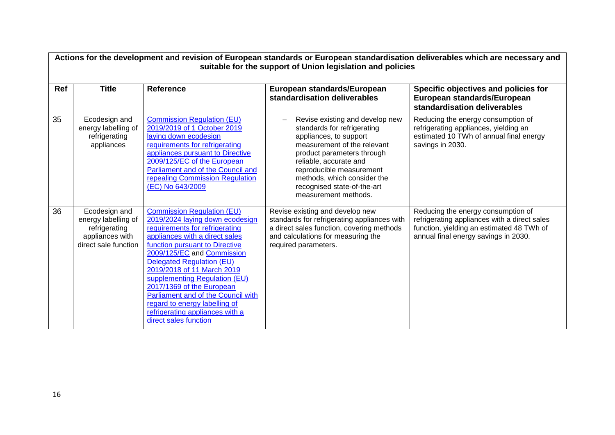| Ref | <b>Title</b>                                                                                     | <b>Reference</b>                                                                                                                                                                                                                                                                                                                                                                                                                                                     | European standards/European<br>standardisation deliverables                                                                                                                                                                                                                                       | Specific objectives and policies for<br>European standards/European<br>standardisation deliverables                                                                     |
|-----|--------------------------------------------------------------------------------------------------|----------------------------------------------------------------------------------------------------------------------------------------------------------------------------------------------------------------------------------------------------------------------------------------------------------------------------------------------------------------------------------------------------------------------------------------------------------------------|---------------------------------------------------------------------------------------------------------------------------------------------------------------------------------------------------------------------------------------------------------------------------------------------------|-------------------------------------------------------------------------------------------------------------------------------------------------------------------------|
| 35  | Ecodesign and<br>energy labelling of<br>refrigerating<br>appliances                              | <b>Commission Regulation (EU)</b><br>2019/2019 of 1 October 2019<br>laying down ecodesign<br>requirements for refrigerating<br>appliances pursuant to Directive<br>2009/125/EC of the European<br>Parliament and of the Council and<br>repealing Commission Regulation<br>(EC) No 643/2009                                                                                                                                                                           | Revise existing and develop new<br>standards for refrigerating<br>appliances, to support<br>measurement of the relevant<br>product parameters through<br>reliable, accurate and<br>reproducible measurement<br>methods, which consider the<br>recognised state-of-the-art<br>measurement methods. | Reducing the energy consumption of<br>refrigerating appliances, yielding an<br>estimated 10 TWh of annual final energy<br>savings in 2030.                              |
| 36  | Ecodesign and<br>energy labelling of<br>refrigerating<br>appliances with<br>direct sale function | <b>Commission Regulation (EU)</b><br>2019/2024 laying down ecodesign<br>requirements for refrigerating<br>appliances with a direct sales<br>function pursuant to Directive<br>2009/125/EC and Commission<br>Delegated Regulation (EU)<br>2019/2018 of 11 March 2019<br>supplementing Regulation (EU)<br>2017/1369 of the European<br>Parliament and of the Council with<br>regard to energy labelling of<br>refrigerating appliances with a<br>direct sales function | Revise existing and develop new<br>standards for refrigerating appliances with<br>a direct sales function, covering methods<br>and calculations for measuring the<br>required parameters.                                                                                                         | Reducing the energy consumption of<br>refrigerating appliances with a direct sales<br>function, yielding an estimated 48 TWh of<br>annual final energy savings in 2030. |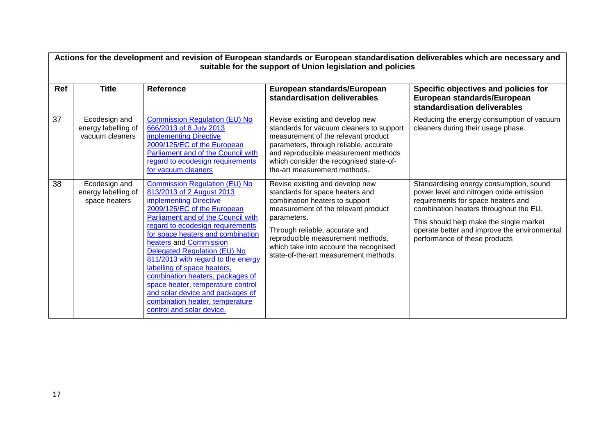|            | Actions for the development and revision of European standards or European standardisation deliverables which are necessary and<br>suitable for the support of Union legislation and policies |                                                                                                                                                                                                                                                                                                                                                                                                                                                                                                                                                                     |                                                                                                                                                                                                                                                                                                                      |                                                                                                                                                                                                                                                                                                |  |
|------------|-----------------------------------------------------------------------------------------------------------------------------------------------------------------------------------------------|---------------------------------------------------------------------------------------------------------------------------------------------------------------------------------------------------------------------------------------------------------------------------------------------------------------------------------------------------------------------------------------------------------------------------------------------------------------------------------------------------------------------------------------------------------------------|----------------------------------------------------------------------------------------------------------------------------------------------------------------------------------------------------------------------------------------------------------------------------------------------------------------------|------------------------------------------------------------------------------------------------------------------------------------------------------------------------------------------------------------------------------------------------------------------------------------------------|--|
| <b>Ref</b> | <b>Title</b>                                                                                                                                                                                  | <b>Reference</b>                                                                                                                                                                                                                                                                                                                                                                                                                                                                                                                                                    | European standards/European<br>standardisation deliverables                                                                                                                                                                                                                                                          | Specific objectives and policies for<br>European standards/European<br>standardisation deliverables                                                                                                                                                                                            |  |
| 37         | Ecodesign and<br>energy labelling of<br>vacuum cleaners                                                                                                                                       | <b>Commission Regulation (EU) No</b><br>666/2013 of 8 July 2013<br>implementing Directive<br>2009/125/EC of the European<br>Parliament and of the Council with<br>regard to ecodesign requirements<br>for vacuum cleaners                                                                                                                                                                                                                                                                                                                                           | Revise existing and develop new<br>standards for vacuum cleaners to support<br>measurement of the relevant product<br>parameters, through reliable, accurate<br>and reproducible measurement methods<br>which consider the recognised state-of-<br>the-art measurement methods.                                      | Reducing the energy consumption of vacuum<br>cleaners during their usage phase.                                                                                                                                                                                                                |  |
| 38         | Ecodesign and<br>energy labelling of<br>space heaters                                                                                                                                         | <b>Commission Regulation (EU) No</b><br>813/2013 of 2 August 2013<br>implementing Directive<br>2009/125/EC of the European<br><b>Parliament and of the Council with</b><br>regard to ecodesign requirements<br>for space heaters and combination<br>heaters and Commission<br><b>Delegated Regulation (EU) No</b><br>811/2013 with regard to the energy<br>labelling of space heaters,<br>combination heaters, packages of<br>space heater, temperature control<br>and solar device and packages of<br>combination heater, temperature<br>control and solar device. | Revise existing and develop new<br>standards for space heaters and<br>combination heaters to support<br>measurement of the relevant product<br>parameters.<br>Through reliable, accurate and<br>reproducible measurement methods,<br>which take into account the recognised<br>state-of-the-art measurement methods. | Standardising energy consumption, sound<br>power level and nitrogen oxide emission<br>requirements for space heaters and<br>combination heaters throughout the EU.<br>This should help make the single market<br>operate better and improve the environmental<br>performance of these products |  |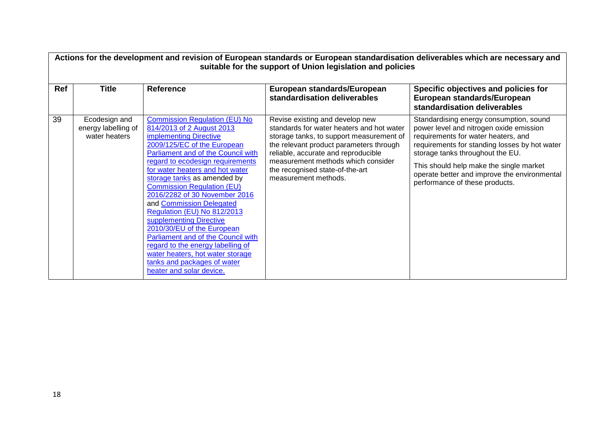| <b>Ref</b> | <b>Title</b>                                          | <b>Reference</b>                                                                                                                                                                                                                                                                                                                                                                                                                                                                                                                                                                                                                           | suitable for the support of Union legislation and policies<br>European standards/European<br>standardisation deliverables                                                                                                                                                                                   | Actions for the development and revision of European standards or European standardisation deliverables which are necessary and<br>Specific objectives and policies for<br>European standards/European<br>standardisation deliverables                                                                                                      |
|------------|-------------------------------------------------------|--------------------------------------------------------------------------------------------------------------------------------------------------------------------------------------------------------------------------------------------------------------------------------------------------------------------------------------------------------------------------------------------------------------------------------------------------------------------------------------------------------------------------------------------------------------------------------------------------------------------------------------------|-------------------------------------------------------------------------------------------------------------------------------------------------------------------------------------------------------------------------------------------------------------------------------------------------------------|---------------------------------------------------------------------------------------------------------------------------------------------------------------------------------------------------------------------------------------------------------------------------------------------------------------------------------------------|
| 39         | Ecodesign and<br>energy labelling of<br>water heaters | <b>Commission Regulation (EU) No</b><br>814/2013 of 2 August 2013<br>implementing Directive<br>2009/125/EC of the European<br>Parliament and of the Council with<br>regard to ecodesign requirements<br>for water heaters and hot water<br>storage tanks as amended by<br><b>Commission Regulation (EU)</b><br>2016/2282 of 30 November 2016<br>and Commission Delegated<br>Regulation (EU) No 812/2013<br>supplementing Directive<br>2010/30/EU of the European<br>Parliament and of the Council with<br>regard to the energy labelling of<br>water heaters, hot water storage<br>tanks and packages of water<br>heater and solar device. | Revise existing and develop new<br>standards for water heaters and hot water<br>storage tanks, to support measurement of<br>the relevant product parameters through<br>reliable, accurate and reproducible<br>measurement methods which consider<br>the recognised state-of-the-art<br>measurement methods. | Standardising energy consumption, sound<br>power level and nitrogen oxide emission<br>requirements for water heaters, and<br>requirements for standing losses by hot water<br>storage tanks throughout the EU.<br>This should help make the single market<br>operate better and improve the environmental<br>performance of these products. |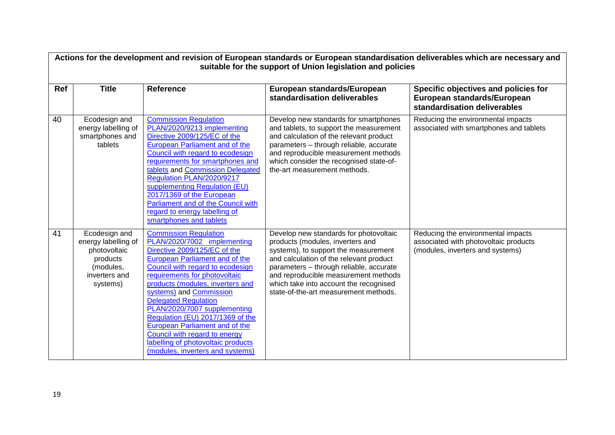|     | Actions for the development and revision of European standards or European standardisation deliverables which are necessary and<br>suitable for the support of Union legislation and policies |                                                                                                                                                                                                                                                                                                                                                                                                                                                                                                                          |                                                                                                                                                                                                                                                                                                                                     |                                                                                                                 |  |  |
|-----|-----------------------------------------------------------------------------------------------------------------------------------------------------------------------------------------------|--------------------------------------------------------------------------------------------------------------------------------------------------------------------------------------------------------------------------------------------------------------------------------------------------------------------------------------------------------------------------------------------------------------------------------------------------------------------------------------------------------------------------|-------------------------------------------------------------------------------------------------------------------------------------------------------------------------------------------------------------------------------------------------------------------------------------------------------------------------------------|-----------------------------------------------------------------------------------------------------------------|--|--|
| Ref | <b>Title</b>                                                                                                                                                                                  | <b>Reference</b>                                                                                                                                                                                                                                                                                                                                                                                                                                                                                                         | European standards/European<br>standardisation deliverables                                                                                                                                                                                                                                                                         | Specific objectives and policies for<br>European standards/European<br>standardisation deliverables             |  |  |
| 40  | Ecodesign and<br>energy labelling of<br>smartphones and<br>tablets                                                                                                                            | <b>Commission Regulation</b><br>PLAN/2020/9213 implementing<br>Directive 2009/125/EC of the<br><b>European Parliament and of the</b><br>Council with regard to ecodesign<br>requirements for smartphones and<br>tablets and Commission Delegated<br>Regulation PLAN/2020/9217<br>supplementing Regulation (EU)<br>2017/1369 of the European<br>Parliament and of the Council with<br>regard to energy labelling of<br>smartphones and tablets                                                                            | Develop new standards for smartphones<br>and tablets, to support the measurement<br>and calculation of the relevant product<br>parameters - through reliable, accurate<br>and reproducible measurement methods<br>which consider the recognised state-of-<br>the-art measurement methods.                                           | Reducing the environmental impacts<br>associated with smartphones and tablets                                   |  |  |
| 41  | Ecodesign and<br>energy labelling of<br>photovoltaic<br>products<br>(modules,<br>inverters and<br>systems)                                                                                    | <b>Commission Regulation</b><br>PLAN/2020/7002 implementing<br>Directive 2009/125/EC of the<br><b>European Parliament and of the</b><br>Council with regard to ecodesign<br>requirements for photovoltaic<br>products (modules, inverters and<br>systems) and Commission<br><b>Delegated Regulation</b><br>PLAN/2020/7007 supplementing<br>Regulation (EU) 2017/1369 of the<br>European Parliament and of the<br>Council with regard to energy<br>labelling of photovoltaic products<br>(modules, inverters and systems) | Develop new standards for photovoltaic<br>products (modules, inverters and<br>systems), to support the measurement<br>and calculation of the relevant product<br>parameters - through reliable, accurate<br>and reproducible measurement methods<br>which take into account the recognised<br>state-of-the-art measurement methods. | Reducing the environmental impacts<br>associated with photovoltaic products<br>(modules, inverters and systems) |  |  |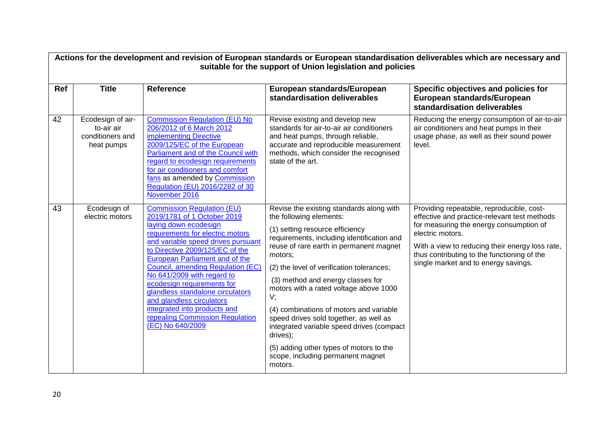|     | Actions for the development and revision of European standards or European standardisation deliverables which are necessary and<br>suitable for the support of Union legislation and policies |                                                                                                                                                                                                                                                                                                                                                                                                                                                                                                          |                                                                                                                                                                                                                                                                                                                                                                                                                                                                                                                                                                                       |                                                                                                                                                                                                                                                                                                    |  |  |
|-----|-----------------------------------------------------------------------------------------------------------------------------------------------------------------------------------------------|----------------------------------------------------------------------------------------------------------------------------------------------------------------------------------------------------------------------------------------------------------------------------------------------------------------------------------------------------------------------------------------------------------------------------------------------------------------------------------------------------------|---------------------------------------------------------------------------------------------------------------------------------------------------------------------------------------------------------------------------------------------------------------------------------------------------------------------------------------------------------------------------------------------------------------------------------------------------------------------------------------------------------------------------------------------------------------------------------------|----------------------------------------------------------------------------------------------------------------------------------------------------------------------------------------------------------------------------------------------------------------------------------------------------|--|--|
| Ref | <b>Title</b>                                                                                                                                                                                  | <b>Reference</b>                                                                                                                                                                                                                                                                                                                                                                                                                                                                                         | European standards/European<br>standardisation deliverables                                                                                                                                                                                                                                                                                                                                                                                                                                                                                                                           | Specific objectives and policies for<br>European standards/European<br>standardisation deliverables                                                                                                                                                                                                |  |  |
| 42  | Ecodesign of air-<br>to-air air<br>conditioners and<br>heat pumps                                                                                                                             | <b>Commission Regulation (EU) No</b><br>206/2012 of 6 March 2012<br>implementing Directive<br>2009/125/EC of the European<br>Parliament and of the Council with<br>regard to ecodesign requirements<br>for air conditioners and comfort<br>fans as amended by Commission<br>Regulation (EU) 2016/2282 of 30<br>November 2016                                                                                                                                                                             | Revise existing and develop new<br>standards for air-to-air air conditioners<br>and heat pumps, through reliable,<br>accurate and reproducible measurement<br>methods, which consider the recognised<br>state of the art.                                                                                                                                                                                                                                                                                                                                                             | Reducing the energy consumption of air-to-air<br>air conditioners and heat pumps in their<br>usage phase, as well as their sound power<br>level.                                                                                                                                                   |  |  |
| 43  | Ecodesign of<br>electric motors                                                                                                                                                               | <b>Commission Regulation (EU)</b><br>2019/1781 of 1 October 2019<br>laying down ecodesign<br>requirements for electric motors<br>and variable speed drives pursuant<br>to Directive 2009/125/EC of the<br><b>European Parliament and of the</b><br>Council, amending Regulation (EC)<br>No 641/2009 with regard to<br>ecodesign requirements for<br>glandless standalone circulators<br>and glandless circulators<br>integrated into products and<br>repealing Commission Regulation<br>(EC) No 640/2009 | Revise the existing standards along with<br>the following elements:<br>(1) setting resource efficiency<br>requirements, including identification and<br>reuse of rare earth in permanent magnet<br>motors;<br>(2) the level of verification tolerances;<br>(3) method and energy classes for<br>motors with a rated voltage above 1000<br>V;<br>(4) combinations of motors and variable<br>speed drives sold together, as well as<br>integrated variable speed drives (compact<br>drives);<br>(5) adding other types of motors to the<br>scope, including permanent magnet<br>motors. | Providing repeatable, reproducible, cost-<br>effective and practice-relevant test methods<br>for measuring the energy consumption of<br>electric motors.<br>With a view to reducing their energy loss rate,<br>thus contributing to the functioning of the<br>single market and to energy savings. |  |  |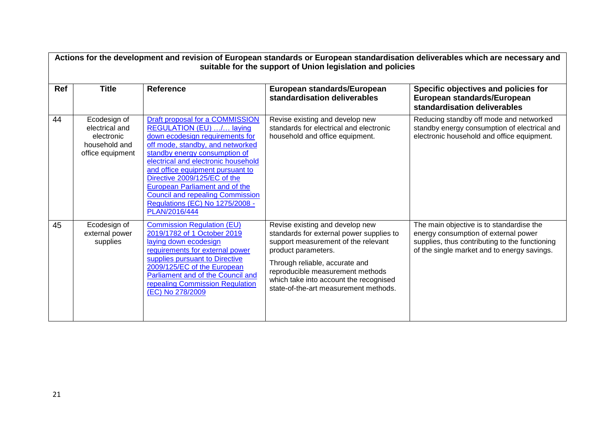|     | Actions for the development and revision of European standards or European standardisation deliverables which are necessary and<br>suitable for the support of Union legislation and policies |                                                                                                                                                                                                                                                                                                                                                                                                                        |                                                                                                                                                                                                                                                                                                    |                                                                                                                                                                                   |  |
|-----|-----------------------------------------------------------------------------------------------------------------------------------------------------------------------------------------------|------------------------------------------------------------------------------------------------------------------------------------------------------------------------------------------------------------------------------------------------------------------------------------------------------------------------------------------------------------------------------------------------------------------------|----------------------------------------------------------------------------------------------------------------------------------------------------------------------------------------------------------------------------------------------------------------------------------------------------|-----------------------------------------------------------------------------------------------------------------------------------------------------------------------------------|--|
| Ref | <b>Title</b>                                                                                                                                                                                  | <b>Reference</b>                                                                                                                                                                                                                                                                                                                                                                                                       | European standards/European<br>standardisation deliverables                                                                                                                                                                                                                                        | Specific objectives and policies for<br>European standards/European<br>standardisation deliverables                                                                               |  |
| 44  | Ecodesign of<br>electrical and<br>electronic<br>household and<br>office equipment                                                                                                             | Draft proposal for a COMMISSION<br>REGULATION (EU) / laying<br>down ecodesign requirements for<br>off mode, standby, and networked<br>standby energy consumption of<br>electrical and electronic household<br>and office equipment pursuant to<br>Directive 2009/125/EC of the<br><b>European Parliament and of the</b><br><b>Council and repealing Commission</b><br>Regulations (EC) No 1275/2008 -<br>PLAN/2016/444 | Revise existing and develop new<br>standards for electrical and electronic<br>household and office equipment.                                                                                                                                                                                      | Reducing standby off mode and networked<br>standby energy consumption of electrical and<br>electronic household and office equipment.                                             |  |
| 45  | Ecodesign of<br>external power<br>supplies                                                                                                                                                    | <b>Commission Regulation (EU)</b><br>2019/1782 of 1 October 2019<br>laying down ecodesign<br>requirements for external power<br>supplies pursuant to Directive<br>2009/125/EC of the European<br>Parliament and of the Council and<br>repealing Commission Regulation<br>(EC) No 278/2009                                                                                                                              | Revise existing and develop new<br>standards for external power supplies to<br>support measurement of the relevant<br>product parameters.<br>Through reliable, accurate and<br>reproducible measurement methods<br>which take into account the recognised<br>state-of-the-art measurement methods. | The main objective is to standardise the<br>energy consumption of external power<br>supplies, thus contributing to the functioning<br>of the single market and to energy savings. |  |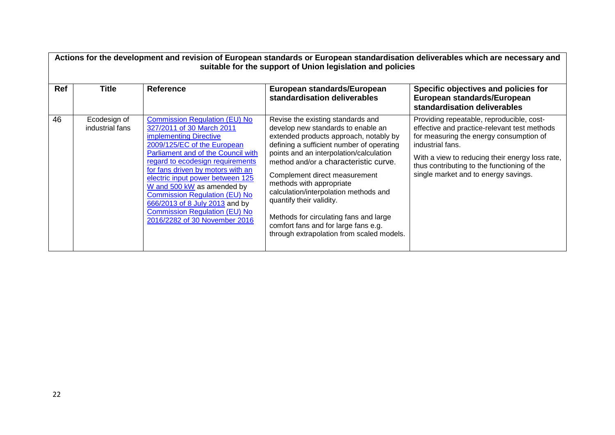|     | Actions for the development and revision of European standards or European standardisation deliverables which are necessary and<br>suitable for the support of Union legislation and policies |                                                                                                                                                                                                                                                                                                                                                                                                                                                                |                                                                                                                                                                                                                                                                                                                                                                                                                                                                                                                     |                                                                                                                                                                                                                                                                                                    |  |
|-----|-----------------------------------------------------------------------------------------------------------------------------------------------------------------------------------------------|----------------------------------------------------------------------------------------------------------------------------------------------------------------------------------------------------------------------------------------------------------------------------------------------------------------------------------------------------------------------------------------------------------------------------------------------------------------|---------------------------------------------------------------------------------------------------------------------------------------------------------------------------------------------------------------------------------------------------------------------------------------------------------------------------------------------------------------------------------------------------------------------------------------------------------------------------------------------------------------------|----------------------------------------------------------------------------------------------------------------------------------------------------------------------------------------------------------------------------------------------------------------------------------------------------|--|
| Ref | Title                                                                                                                                                                                         | <b>Reference</b>                                                                                                                                                                                                                                                                                                                                                                                                                                               | European standards/European<br>standardisation deliverables                                                                                                                                                                                                                                                                                                                                                                                                                                                         | Specific objectives and policies for<br>European standards/European<br>standardisation deliverables                                                                                                                                                                                                |  |
| 46  | Ecodesign of<br>industrial fans                                                                                                                                                               | <b>Commission Regulation (EU) No</b><br>327/2011 of 30 March 2011<br>implementing Directive<br>2009/125/EC of the European<br>Parliament and of the Council with<br>regard to ecodesign requirements<br>for fans driven by motors with an<br>electric input power between 125<br>W and 500 kW as amended by<br><b>Commission Regulation (EU) No</b><br>666/2013 of 8 July 2013 and by<br><b>Commission Regulation (EU) No</b><br>2016/2282 of 30 November 2016 | Revise the existing standards and<br>develop new standards to enable an<br>extended products approach, notably by<br>defining a sufficient number of operating<br>points and an interpolation/calculation<br>method and/or a characteristic curve.<br>Complement direct measurement<br>methods with appropriate<br>calculation/interpolation methods and<br>quantify their validity.<br>Methods for circulating fans and large<br>comfort fans and for large fans e.g.<br>through extrapolation from scaled models. | Providing repeatable, reproducible, cost-<br>effective and practice-relevant test methods<br>for measuring the energy consumption of<br>industrial fans.<br>With a view to reducing their energy loss rate,<br>thus contributing to the functioning of the<br>single market and to energy savings. |  |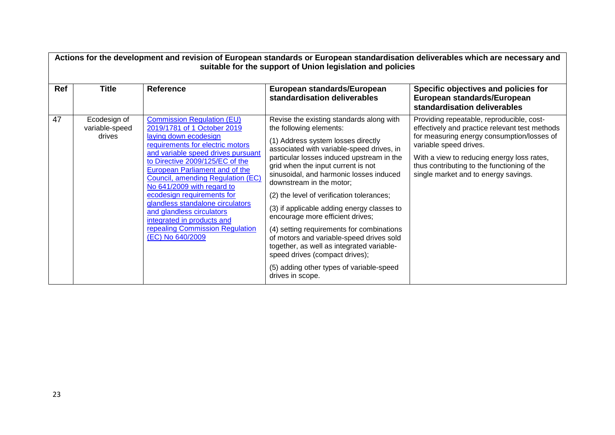|     | Actions for the development and revision of European standards or European standardisation deliverables which are necessary and<br>suitable for the support of Union legislation and policies |                                                                                                                                                                                                                                                                                                                                                                                                                                                                                                 |                                                                                                                                                                                                                                                                                                                                                                                                                                                                                                                                                                                                                                                                                         |                                                                                                                                                                                                                                                                                                          |  |  |
|-----|-----------------------------------------------------------------------------------------------------------------------------------------------------------------------------------------------|-------------------------------------------------------------------------------------------------------------------------------------------------------------------------------------------------------------------------------------------------------------------------------------------------------------------------------------------------------------------------------------------------------------------------------------------------------------------------------------------------|-----------------------------------------------------------------------------------------------------------------------------------------------------------------------------------------------------------------------------------------------------------------------------------------------------------------------------------------------------------------------------------------------------------------------------------------------------------------------------------------------------------------------------------------------------------------------------------------------------------------------------------------------------------------------------------------|----------------------------------------------------------------------------------------------------------------------------------------------------------------------------------------------------------------------------------------------------------------------------------------------------------|--|--|
| Ref | <b>Title</b>                                                                                                                                                                                  | <b>Reference</b>                                                                                                                                                                                                                                                                                                                                                                                                                                                                                | European standards/European<br>standardisation deliverables                                                                                                                                                                                                                                                                                                                                                                                                                                                                                                                                                                                                                             | Specific objectives and policies for<br>European standards/European<br>standardisation deliverables                                                                                                                                                                                                      |  |  |
| 47  | Ecodesign of<br>variable-speed<br>drives                                                                                                                                                      | <b>Commission Regulation (EU)</b><br>2019/1781 of 1 October 2019<br>laying down ecodesign<br>requirements for electric motors<br>and variable speed drives pursuant<br>to Directive 2009/125/EC of the<br>European Parliament and of the<br>Council, amending Regulation (EC)<br>No 641/2009 with regard to<br>ecodesign requirements for<br>glandless standalone circulators<br>and glandless circulators<br>integrated in products and<br>repealing Commission Regulation<br>(EC) No 640/2009 | Revise the existing standards along with<br>the following elements:<br>(1) Address system losses directly<br>associated with variable-speed drives, in<br>particular losses induced upstream in the<br>grid when the input current is not<br>sinusoidal, and harmonic losses induced<br>downstream in the motor;<br>(2) the level of verification tolerances;<br>(3) if applicable adding energy classes to<br>encourage more efficient drives;<br>(4) setting requirements for combinations<br>of motors and variable-speed drives sold<br>together, as well as integrated variable-<br>speed drives (compact drives);<br>(5) adding other types of variable-speed<br>drives in scope. | Providing repeatable, reproducible, cost-<br>effectively and practice relevant test methods<br>for measuring energy consumption/losses of<br>variable speed drives.<br>With a view to reducing energy loss rates,<br>thus contributing to the functioning of the<br>single market and to energy savings. |  |  |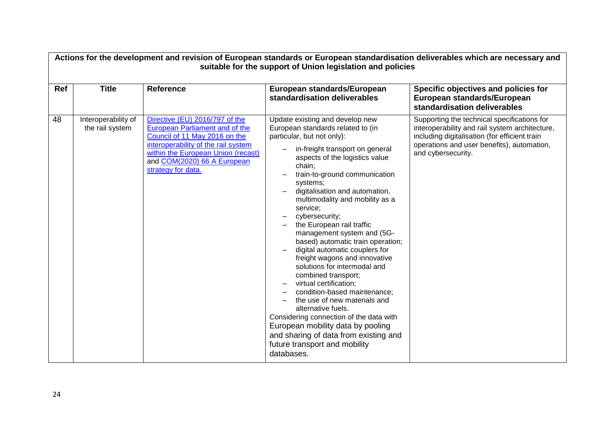|     | Actions for the development and revision of European standards or European standardisation deliverables which are necessary and<br>suitable for the support of Union legislation and policies |                                                                                                                                                                                                                                            |                                                                                                                                                                                                                                                                                                                                                                                                                                                                                                                                                                                                                                                                                                                                                                                                                                                     |                                                                                                                                                                                                                    |  |
|-----|-----------------------------------------------------------------------------------------------------------------------------------------------------------------------------------------------|--------------------------------------------------------------------------------------------------------------------------------------------------------------------------------------------------------------------------------------------|-----------------------------------------------------------------------------------------------------------------------------------------------------------------------------------------------------------------------------------------------------------------------------------------------------------------------------------------------------------------------------------------------------------------------------------------------------------------------------------------------------------------------------------------------------------------------------------------------------------------------------------------------------------------------------------------------------------------------------------------------------------------------------------------------------------------------------------------------------|--------------------------------------------------------------------------------------------------------------------------------------------------------------------------------------------------------------------|--|
| Ref | <b>Title</b>                                                                                                                                                                                  | <b>Reference</b>                                                                                                                                                                                                                           | European standards/European<br>standardisation deliverables                                                                                                                                                                                                                                                                                                                                                                                                                                                                                                                                                                                                                                                                                                                                                                                         | Specific objectives and policies for<br>European standards/European<br>standardisation deliverables                                                                                                                |  |
| 48  | Interoperability of<br>the rail system                                                                                                                                                        | Directive (EU) 2016/797 of the<br><b>European Parliament and of the</b><br>Council of 11 May 2016 on the<br>interoperability of the rail system<br>within the European Union (recast)<br>and COM(2020) 66 A European<br>strategy for data. | Update existing and develop new<br>European standards related to (in<br>particular, but not only):<br>in-freight transport on general<br>aspects of the logistics value<br>chain;<br>train-to-ground communication<br>systems;<br>digitalisation and automation,<br>multimodality and mobility as a<br>service;<br>cybersecurity;<br>the European rail traffic<br>management system and (5G-<br>based) automatic train operation;<br>digital automatic couplers for<br>freight wagons and innovative<br>solutions for intermodal and<br>combined transport;<br>virtual certification;<br>condition-based maintenance;<br>the use of new materials and<br>alternative fuels.<br>Considering connection of the data with<br>European mobility data by pooling<br>and sharing of data from existing and<br>future transport and mobility<br>databases. | Supporting the technical specifications for<br>interoperability and rail system architecture,<br>including digitalisation (for efficient train<br>operations and user benefits), automation,<br>and cybersecurity. |  |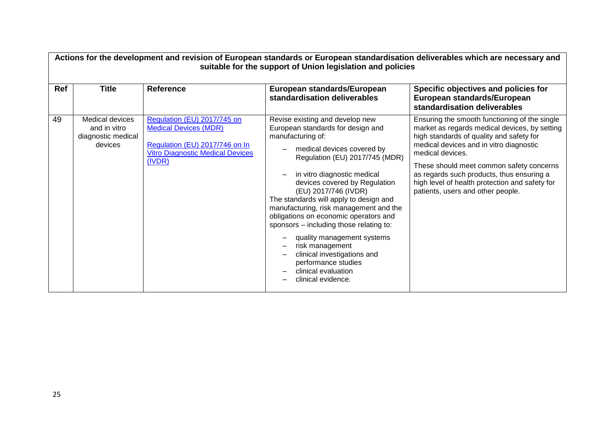|     | Actions for the development and revision of European standards or European standardisation deliverables which are necessary and<br>suitable for the support of Union legislation and policies |                                                                                                                                                    |                                                                                                                                                                                                                                                                                                                                                                                                                                                                                                                                                                               |                                                                                                                                                                                                                                                                                                                                                                                           |  |
|-----|-----------------------------------------------------------------------------------------------------------------------------------------------------------------------------------------------|----------------------------------------------------------------------------------------------------------------------------------------------------|-------------------------------------------------------------------------------------------------------------------------------------------------------------------------------------------------------------------------------------------------------------------------------------------------------------------------------------------------------------------------------------------------------------------------------------------------------------------------------------------------------------------------------------------------------------------------------|-------------------------------------------------------------------------------------------------------------------------------------------------------------------------------------------------------------------------------------------------------------------------------------------------------------------------------------------------------------------------------------------|--|
| Ref | Title                                                                                                                                                                                         | <b>Reference</b>                                                                                                                                   | European standards/European<br>standardisation deliverables                                                                                                                                                                                                                                                                                                                                                                                                                                                                                                                   | Specific objectives and policies for<br>European standards/European<br>standardisation deliverables                                                                                                                                                                                                                                                                                       |  |
| 49  | Medical devices<br>and in vitro<br>diagnostic medical<br>devices                                                                                                                              | Regulation (EU) 2017/745 on<br><b>Medical Devices (MDR)</b><br>Regulation (EU) 2017/746 on In<br><b>Vitro Diagnostic Medical Devices</b><br>(IVDR) | Revise existing and develop new<br>European standards for design and<br>manufacturing of:<br>medical devices covered by<br>Regulation (EU) 2017/745 (MDR)<br>in vitro diagnostic medical<br>devices covered by Regulation<br>(EU) 2017/746 (IVDR)<br>The standards will apply to design and<br>manufacturing, risk management and the<br>obligations on economic operators and<br>sponsors - including those relating to:<br>quality management systems<br>risk management<br>clinical investigations and<br>performance studies<br>clinical evaluation<br>clinical evidence. | Ensuring the smooth functioning of the single<br>market as regards medical devices, by setting<br>high standards of quality and safety for<br>medical devices and in vitro diagnostic<br>medical devices.<br>These should meet common safety concerns<br>as regards such products, thus ensuring a<br>high level of health protection and safety for<br>patients, users and other people. |  |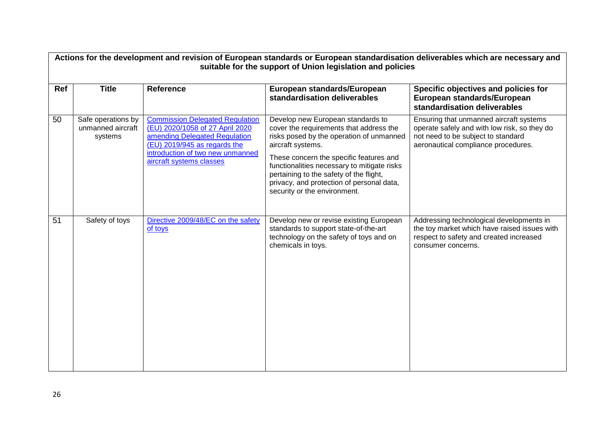| Actions for the development and revision of European standards or European standardisation deliverables which are necessary and<br>suitable for the support of Union legislation and policies |                                                    |                                                                                                                                                                                                            |                                                                                                                                                                                                                                                                                                                                                                 |                                                                                                                                                                      |  |
|-----------------------------------------------------------------------------------------------------------------------------------------------------------------------------------------------|----------------------------------------------------|------------------------------------------------------------------------------------------------------------------------------------------------------------------------------------------------------------|-----------------------------------------------------------------------------------------------------------------------------------------------------------------------------------------------------------------------------------------------------------------------------------------------------------------------------------------------------------------|----------------------------------------------------------------------------------------------------------------------------------------------------------------------|--|
| Ref                                                                                                                                                                                           | <b>Title</b>                                       | <b>Reference</b>                                                                                                                                                                                           | European standards/European<br>standardisation deliverables                                                                                                                                                                                                                                                                                                     | Specific objectives and policies for<br>European standards/European<br>standardisation deliverables                                                                  |  |
| 50                                                                                                                                                                                            | Safe operations by<br>unmanned aircraft<br>systems | <b>Commission Delegated Regulation</b><br>(EU) 2020/1058 of 27 April 2020<br>amending Delegated Regulation<br>(EU) 2019/945 as regards the<br>introduction of two new unmanned<br>aircraft systems classes | Develop new European standards to<br>cover the requirements that address the<br>risks posed by the operation of unmanned<br>aircraft systems.<br>These concern the specific features and<br>functionalities necessary to mitigate risks<br>pertaining to the safety of the flight,<br>privacy, and protection of personal data,<br>security or the environment. | Ensuring that unmanned aircraft systems<br>operate safely and with low risk, so they do<br>not need to be subject to standard<br>aeronautical compliance procedures. |  |
| 51                                                                                                                                                                                            | Safety of toys                                     | Directive 2009/48/EC on the safety<br>of toys                                                                                                                                                              | Develop new or revise existing European<br>standards to support state-of-the-art<br>technology on the safety of toys and on<br>chemicals in toys.                                                                                                                                                                                                               | Addressing technological developments in<br>the toy market which have raised issues with<br>respect to safety and created increased<br>consumer concerns.            |  |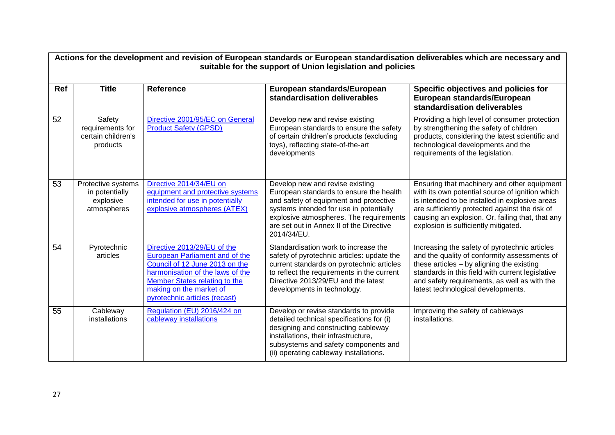|            | Actions for the development and revision of European standards or European standardisation deliverables which are necessary and<br>suitable for the support of Union legislation and policies |                                                                                                                                                                                                                                  |                                                                                                                                                                                                                                                                       |                                                                                                                                                                                                                                                                                                |  |  |
|------------|-----------------------------------------------------------------------------------------------------------------------------------------------------------------------------------------------|----------------------------------------------------------------------------------------------------------------------------------------------------------------------------------------------------------------------------------|-----------------------------------------------------------------------------------------------------------------------------------------------------------------------------------------------------------------------------------------------------------------------|------------------------------------------------------------------------------------------------------------------------------------------------------------------------------------------------------------------------------------------------------------------------------------------------|--|--|
| <b>Ref</b> | <b>Title</b>                                                                                                                                                                                  | <b>Reference</b>                                                                                                                                                                                                                 | European standards/European<br>standardisation deliverables                                                                                                                                                                                                           | Specific objectives and policies for<br>European standards/European<br>standardisation deliverables                                                                                                                                                                                            |  |  |
| 52         | Safety<br>requirements for<br>certain children's<br>products                                                                                                                                  | Directive 2001/95/EC on General<br><b>Product Safety (GPSD)</b>                                                                                                                                                                  | Develop new and revise existing<br>European standards to ensure the safety<br>of certain children's products (excluding<br>toys), reflecting state-of-the-art<br>developments                                                                                         | Providing a high level of consumer protection<br>by strengthening the safety of children<br>products, considering the latest scientific and<br>technological developments and the<br>requirements of the legislation.                                                                          |  |  |
| 53         | Protective systems<br>in potentially<br>explosive<br>atmospheres                                                                                                                              | Directive 2014/34/EU on<br>equipment and protective systems<br>intended for use in potentially<br>explosive atmospheres (ATEX)                                                                                                   | Develop new and revise existing<br>European standards to ensure the health<br>and safety of equipment and protective<br>systems intended for use in potentially<br>explosive atmospheres. The requirements<br>are set out in Annex II of the Directive<br>2014/34/EU. | Ensuring that machinery and other equipment<br>with its own potential source of ignition which<br>is intended to be installed in explosive areas<br>are sufficiently protected against the risk of<br>causing an explosion. Or, failing that, that any<br>explosion is sufficiently mitigated. |  |  |
| 54         | Pyrotechnic<br>articles                                                                                                                                                                       | Directive 2013/29/EU of the<br>European Parliament and of the<br>Council of 12 June 2013 on the<br>harmonisation of the laws of the<br>Member States relating to the<br>making on the market of<br>pyrotechnic articles (recast) | Standardisation work to increase the<br>safety of pyrotechnic articles: update the<br>current standards on pyrotechnic articles<br>to reflect the requirements in the current<br>Directive 2013/29/EU and the latest<br>developments in technology.                   | Increasing the safety of pyrotechnic articles<br>and the quality of conformity assessments of<br>these articles $-$ by aligning the existing<br>standards in this field with current legislative<br>and safety requirements, as well as with the<br>latest technological developments.         |  |  |
| 55         | Cableway<br>installations                                                                                                                                                                     | Regulation (EU) 2016/424 on<br>cableway installations                                                                                                                                                                            | Develop or revise standards to provide<br>detailed technical specifications for (i)<br>designing and constructing cableway<br>installations, their infrastructure,<br>subsystems and safety components and<br>(ii) operating cableway installations.                  | Improving the safety of cableways<br>installations.                                                                                                                                                                                                                                            |  |  |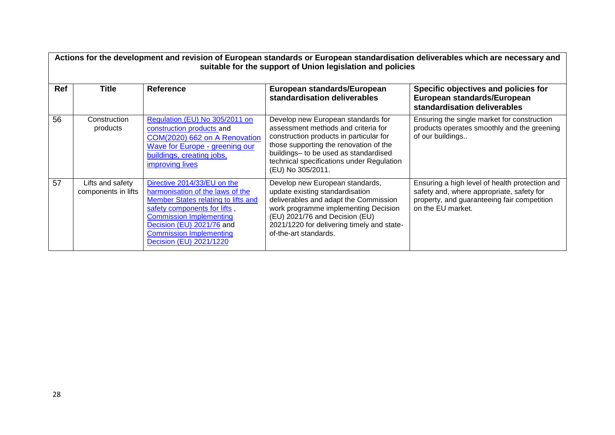|            | Actions for the development and revision of European standards or European standardisation deliverables which are necessary and<br>suitable for the support of Union legislation and policies |                                                                                                                                                                                                                                                                    |                                                                                                                                                                                                                                                                           |                                                                                                                                                                 |  |  |
|------------|-----------------------------------------------------------------------------------------------------------------------------------------------------------------------------------------------|--------------------------------------------------------------------------------------------------------------------------------------------------------------------------------------------------------------------------------------------------------------------|---------------------------------------------------------------------------------------------------------------------------------------------------------------------------------------------------------------------------------------------------------------------------|-----------------------------------------------------------------------------------------------------------------------------------------------------------------|--|--|
| <b>Ref</b> | <b>Title</b>                                                                                                                                                                                  | <b>Reference</b>                                                                                                                                                                                                                                                   | European standards/European<br>standardisation deliverables                                                                                                                                                                                                               | Specific objectives and policies for<br>European standards/European<br>standardisation deliverables                                                             |  |  |
| 56         | Construction<br>products                                                                                                                                                                      | Regulation (EU) No 305/2011 on<br>construction products and<br>COM(2020) 662 on A Renovation<br>Wave for Europe - greening our<br>buildings, creating jobs,<br><b>improving lives</b>                                                                              | Develop new European standards for<br>assessment methods and criteria for<br>construction products in particular for<br>those supporting the renovation of the<br>buildings- to be used as standardised<br>technical specifications under Regulation<br>(EU) No 305/2011. | Ensuring the single market for construction<br>products operates smoothly and the greening<br>of our buildings                                                  |  |  |
| 57         | Lifts and safety<br>components in lifts                                                                                                                                                       | Directive 2014/33/EU on the<br>harmonisation of the laws of the<br>Member States relating to lifts and<br>safety components for lifts,<br><b>Commission Implementing</b><br>Decision (EU) 2021/76 and<br><b>Commission Implementing</b><br>Decision (EU) 2021/1220 | Develop new European standards,<br>update existing standardisation<br>deliverables and adapt the Commission<br>work programme implementing Decision<br>(EU) 2021/76 and Decision (EU)<br>2021/1220 for delivering timely and state-<br>of-the-art standards.              | Ensuring a high level of health protection and<br>safety and, where appropriate, safety for<br>property, and guaranteeing fair competition<br>on the EU market. |  |  |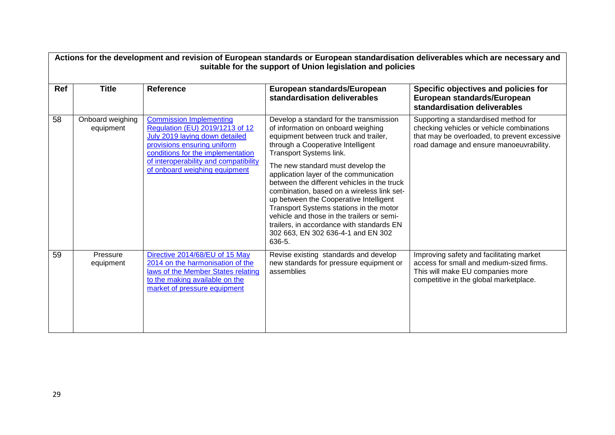|     | Actions for the development and revision of European standards or European standardisation deliverables which are necessary and<br>suitable for the support of Union legislation and policies |                                                                                                                                                                                                                                                   |                                                                                                                                                                                                                                                                                                                                                                                                                                                                                                                                                                                                   |                                                                                                                                                                              |  |  |
|-----|-----------------------------------------------------------------------------------------------------------------------------------------------------------------------------------------------|---------------------------------------------------------------------------------------------------------------------------------------------------------------------------------------------------------------------------------------------------|---------------------------------------------------------------------------------------------------------------------------------------------------------------------------------------------------------------------------------------------------------------------------------------------------------------------------------------------------------------------------------------------------------------------------------------------------------------------------------------------------------------------------------------------------------------------------------------------------|------------------------------------------------------------------------------------------------------------------------------------------------------------------------------|--|--|
| Ref | <b>Title</b>                                                                                                                                                                                  | <b>Reference</b>                                                                                                                                                                                                                                  | European standards/European<br>standardisation deliverables                                                                                                                                                                                                                                                                                                                                                                                                                                                                                                                                       | Specific objectives and policies for<br>European standards/European<br>standardisation deliverables                                                                          |  |  |
| 58  | Onboard weighing<br>equipment                                                                                                                                                                 | <b>Commission Implementing</b><br>Regulation (EU) 2019/1213 of 12<br>July 2019 laying down detailed<br>provisions ensuring uniform<br>conditions for the implementation<br>of interoperability and compatibility<br>of onboard weighing equipment | Develop a standard for the transmission<br>of information on onboard weighing<br>equipment between truck and trailer,<br>through a Cooperative Intelligent<br>Transport Systems link.<br>The new standard must develop the<br>application layer of the communication<br>between the different vehicles in the truck<br>combination, based on a wireless link set-<br>up between the Cooperative Intelligent<br>Transport Systems stations in the motor<br>vehicle and those in the trailers or semi-<br>trailers, in accordance with standards EN<br>302 663, EN 302 636-4-1 and EN 302<br>636-5. | Supporting a standardised method for<br>checking vehicles or vehicle combinations<br>that may be overloaded, to prevent excessive<br>road damage and ensure manoeuvrability. |  |  |
| 59  | Pressure<br>equipment                                                                                                                                                                         | Directive 2014/68/EU of 15 May<br>2014 on the harmonisation of the<br>laws of the Member States relating<br>to the making available on the<br>market of pressure equipment                                                                        | Revise existing standards and develop<br>new standards for pressure equipment or<br>assemblies                                                                                                                                                                                                                                                                                                                                                                                                                                                                                                    | Improving safety and facilitating market<br>access for small and medium-sized firms.<br>This will make EU companies more<br>competitive in the global marketplace.           |  |  |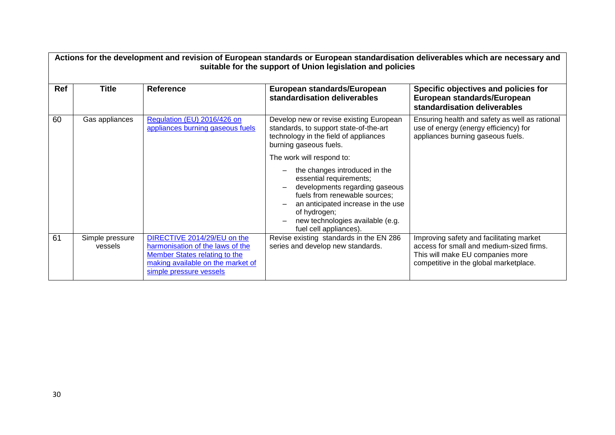|            | Actions for the development and revision of European standards or European standardisation deliverables which are necessary and<br>suitable for the support of Union legislation and policies |                                                                                                                                                                  |                                                                                                                                                                                                                                                 |                                                                                                                                                                    |  |  |
|------------|-----------------------------------------------------------------------------------------------------------------------------------------------------------------------------------------------|------------------------------------------------------------------------------------------------------------------------------------------------------------------|-------------------------------------------------------------------------------------------------------------------------------------------------------------------------------------------------------------------------------------------------|--------------------------------------------------------------------------------------------------------------------------------------------------------------------|--|--|
| <b>Ref</b> | <b>Title</b>                                                                                                                                                                                  | <b>Reference</b>                                                                                                                                                 | European standards/European<br>standardisation deliverables                                                                                                                                                                                     | Specific objectives and policies for<br>European standards/European<br>standardisation deliverables                                                                |  |  |
| 60         | Gas appliances                                                                                                                                                                                | Regulation (EU) 2016/426 on<br>appliances burning gaseous fuels                                                                                                  | Develop new or revise existing European<br>standards, to support state-of-the-art<br>technology in the field of appliances<br>burning gaseous fuels.                                                                                            | Ensuring health and safety as well as rational<br>use of energy (energy efficiency) for<br>appliances burning gaseous fuels.                                       |  |  |
|            |                                                                                                                                                                                               |                                                                                                                                                                  | The work will respond to:                                                                                                                                                                                                                       |                                                                                                                                                                    |  |  |
|            |                                                                                                                                                                                               |                                                                                                                                                                  | the changes introduced in the<br>essential requirements;<br>developments regarding gaseous<br>fuels from renewable sources;<br>an anticipated increase in the use<br>of hydrogen;<br>new technologies available (e.g.<br>fuel cell appliances). |                                                                                                                                                                    |  |  |
| 61         | Simple pressure<br>vessels                                                                                                                                                                    | DIRECTIVE 2014/29/EU on the<br>harmonisation of the laws of the<br>Member States relating to the<br>making available on the market of<br>simple pressure vessels | Revise existing standards in the EN 286<br>series and develop new standards.                                                                                                                                                                    | Improving safety and facilitating market<br>access for small and medium-sized firms.<br>This will make EU companies more<br>competitive in the global marketplace. |  |  |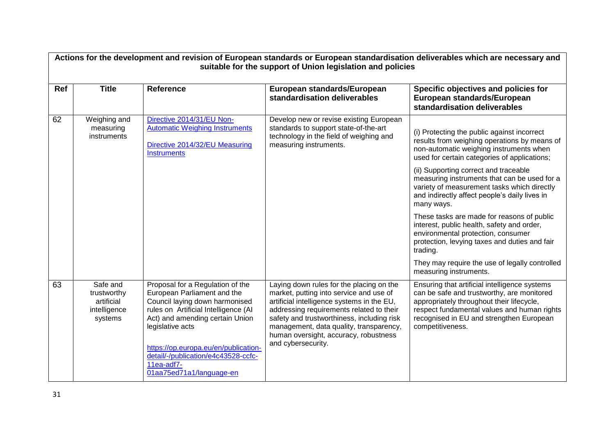|     | Actions for the development and revision of European standards or European standardisation deliverables which are necessary and<br>suitable for the support of Union legislation and policies |                                                                                                                                                                                                                                                                                               |                                                                                                                                                                                                                                                                                                                                       |                                                                                                                                                                                                                                                         |  |  |
|-----|-----------------------------------------------------------------------------------------------------------------------------------------------------------------------------------------------|-----------------------------------------------------------------------------------------------------------------------------------------------------------------------------------------------------------------------------------------------------------------------------------------------|---------------------------------------------------------------------------------------------------------------------------------------------------------------------------------------------------------------------------------------------------------------------------------------------------------------------------------------|---------------------------------------------------------------------------------------------------------------------------------------------------------------------------------------------------------------------------------------------------------|--|--|
| Ref | <b>Title</b>                                                                                                                                                                                  | <b>Reference</b>                                                                                                                                                                                                                                                                              | European standards/European<br>standardisation deliverables                                                                                                                                                                                                                                                                           | Specific objectives and policies for<br>European standards/European<br>standardisation deliverables                                                                                                                                                     |  |  |
| 62  | Weighing and<br>measuring<br>instruments                                                                                                                                                      | Directive 2014/31/EU Non-<br><b>Automatic Weighing Instruments</b><br>Directive 2014/32/EU Measuring<br><b>Instruments</b>                                                                                                                                                                    | Develop new or revise existing European<br>standards to support state-of-the-art<br>technology in the field of weighing and<br>measuring instruments.                                                                                                                                                                                 | (i) Protecting the public against incorrect<br>results from weighing operations by means of<br>non-automatic weighing instruments when<br>used for certain categories of applications;                                                                  |  |  |
|     |                                                                                                                                                                                               |                                                                                                                                                                                                                                                                                               |                                                                                                                                                                                                                                                                                                                                       | (ii) Supporting correct and traceable<br>measuring instruments that can be used for a<br>variety of measurement tasks which directly<br>and indirectly affect people's daily lives in<br>many ways.                                                     |  |  |
|     |                                                                                                                                                                                               |                                                                                                                                                                                                                                                                                               |                                                                                                                                                                                                                                                                                                                                       | These tasks are made for reasons of public<br>interest, public health, safety and order,<br>environmental protection, consumer<br>protection, levying taxes and duties and fair<br>trading.                                                             |  |  |
|     |                                                                                                                                                                                               |                                                                                                                                                                                                                                                                                               |                                                                                                                                                                                                                                                                                                                                       | They may require the use of legally controlled<br>measuring instruments.                                                                                                                                                                                |  |  |
| 63  | Safe and<br>trustworthy<br>artificial<br>intelligence<br>systems                                                                                                                              | Proposal for a Regulation of the<br>European Parliament and the<br>Council laying down harmonised<br>rules on Artificial Intelligence (AI<br>Act) and amending certain Union<br>legislative acts<br>https://op.europa.eu/en/publication-<br>detail/-/publication/e4c43528-ccfc-<br>11ea-adf7- | Laying down rules for the placing on the<br>market, putting into service and use of<br>artificial intelligence systems in the EU,<br>addressing requirements related to their<br>safety and trustworthiness, including risk<br>management, data quality, transparency,<br>human oversight, accuracy, robustness<br>and cybersecurity. | Ensuring that artificial intelligence systems<br>can be safe and trustworthy, are monitored<br>appropriately throughout their lifecycle,<br>respect fundamental values and human rights<br>recognised in EU and strengthen European<br>competitiveness. |  |  |
|     |                                                                                                                                                                                               | 01aa75ed71a1/language-en                                                                                                                                                                                                                                                                      |                                                                                                                                                                                                                                                                                                                                       |                                                                                                                                                                                                                                                         |  |  |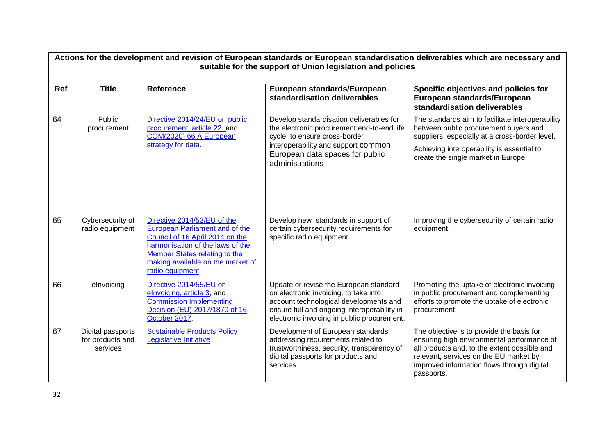|     | Actions for the development and revision of European standards or European standardisation deliverables which are necessary and<br>suitable for the support of Union legislation and policies |                                                                                                                                                                                                                                      |                                                                                                                                                                                                                         |                                                                                                                                                                                                                                               |  |
|-----|-----------------------------------------------------------------------------------------------------------------------------------------------------------------------------------------------|--------------------------------------------------------------------------------------------------------------------------------------------------------------------------------------------------------------------------------------|-------------------------------------------------------------------------------------------------------------------------------------------------------------------------------------------------------------------------|-----------------------------------------------------------------------------------------------------------------------------------------------------------------------------------------------------------------------------------------------|--|
| Ref | <b>Title</b>                                                                                                                                                                                  | <b>Reference</b>                                                                                                                                                                                                                     | European standards/European<br>standardisation deliverables                                                                                                                                                             | Specific objectives and policies for<br>European standards/European<br>standardisation deliverables                                                                                                                                           |  |
| 64  | Public<br>procurement                                                                                                                                                                         | Directive 2014/24/EU on public<br>procurement, article 22. and<br>COM(2020) 66 A European<br>strategy for data.                                                                                                                      | Develop standardisation deliverables for<br>the electronic procurement end-to-end life<br>cycle, to ensure cross-border<br>interoperability and support common<br>European data spaces for public<br>administrations    | The standards aim to facilitate interoperability<br>between public procurement buyers and<br>suppliers, especially at a cross-border level.<br>Achieving interoperability is essential to<br>create the single market in Europe.              |  |
| 65  | Cybersecurity of<br>radio equipment                                                                                                                                                           | Directive 2014/53/EU of the<br><b>European Parliament and of the</b><br>Council of 16 April 2014 on the<br>harmonisation of the laws of the<br>Member States relating to the<br>making available on the market of<br>radio equipment | Develop new standards in support of<br>certain cybersecurity requirements for<br>specific radio equipment                                                                                                               | Improving the cybersecurity of certain radio<br>equipment.                                                                                                                                                                                    |  |
| 66  | elnvoicing                                                                                                                                                                                    | Directive 2014/55/EU on<br>elnvoicing, article 3, and<br><b>Commission Implementing</b><br>Decision (EU) 2017/1870 of 16<br>October 2017                                                                                             | Update or revise the European standard<br>on electronic invoicing, to take into<br>account technological developments and<br>ensure full and ongoing interoperability in<br>electronic invoicing in public procurement. | Promoting the uptake of electronic invoicing<br>in public procurement and complementing<br>efforts to promote the uptake of electronic<br>procurement.                                                                                        |  |
| 67  | Digital passports<br>for products and<br>services                                                                                                                                             | <b>Sustainable Products Policy</b><br>Legislative Initiative                                                                                                                                                                         | Development of European standards<br>addressing requirements related to<br>trustworthiness, security, transparency of<br>digital passports for products and<br>services                                                 | The objective is to provide the basis for<br>ensuring high environmental performance of<br>all products and, to the extent possible and<br>relevant, services on the EU market by<br>improved information flows through digital<br>passports. |  |